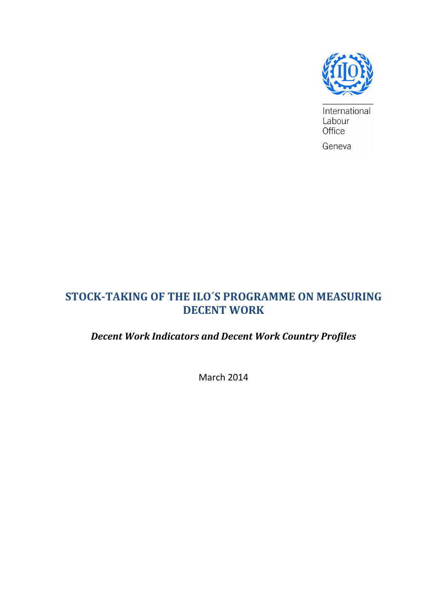

International Labour Office

Geneva

# **STOCK-TAKING OF THE ILO´S PROGRAMME ON MEASURING DECENT WORK**

# *Decent Work Indicators and Decent Work Country Profiles*

March 2014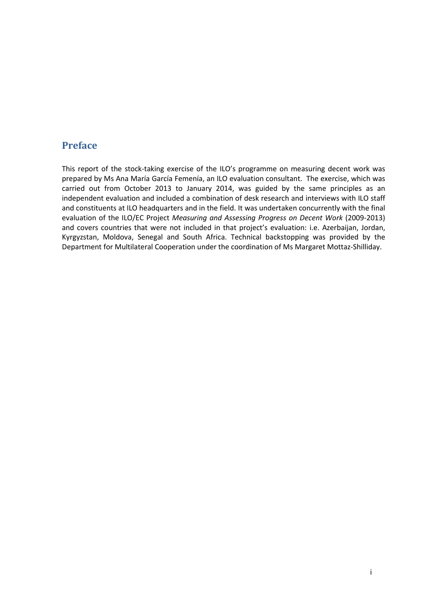## **Preface**

This report of the stock-taking exercise of the ILO's programme on measuring decent work was prepared by Ms Ana María García Femenía, an ILO evaluation consultant. The exercise, which was carried out from October 2013 to January 2014, was guided by the same principles as an independent evaluation and included a combination of desk research and interviews with ILO staff and constituents at ILO headquarters and in the field. It was undertaken concurrently with the final evaluation of the ILO/EC Project *Measuring and Assessing Progress on Decent Work* (2009-2013) and covers countries that were not included in that project's evaluation: i.e. Azerbaijan, Jordan, Kyrgyzstan, Moldova, Senegal and South Africa. Technical backstopping was provided by the Department for Multilateral Cooperation under the coordination of Ms Margaret Mottaz-Shilliday.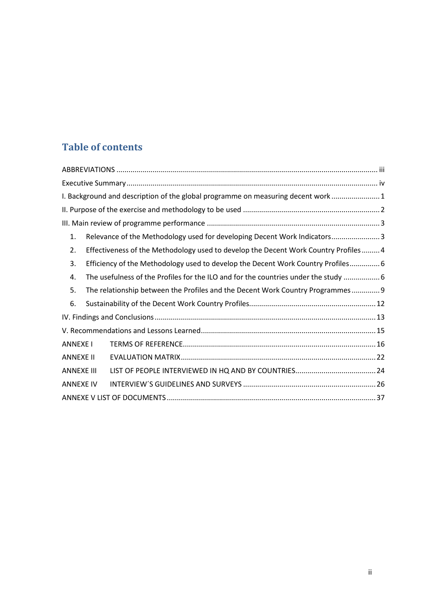# **Table of contents**

|                   |                                                                                     | I. Background and description of the global programme on measuring decent work  1   |  |  |  |
|-------------------|-------------------------------------------------------------------------------------|-------------------------------------------------------------------------------------|--|--|--|
|                   |                                                                                     |                                                                                     |  |  |  |
|                   |                                                                                     |                                                                                     |  |  |  |
| 1.                |                                                                                     | Relevance of the Methodology used for developing Decent Work Indicators 3           |  |  |  |
| 2.                |                                                                                     | Effectiveness of the Methodology used to develop the Decent Work Country Profiles 4 |  |  |  |
| 3.                |                                                                                     | Efficiency of the Methodology used to develop the Decent Work Country Profiles 6    |  |  |  |
| 4.                | The usefulness of the Profiles for the ILO and for the countries under the study  6 |                                                                                     |  |  |  |
| 5.                | The relationship between the Profiles and the Decent Work Country Programmes 9      |                                                                                     |  |  |  |
| 6.                |                                                                                     |                                                                                     |  |  |  |
|                   |                                                                                     |                                                                                     |  |  |  |
|                   |                                                                                     |                                                                                     |  |  |  |
| <b>ANNEXE I</b>   |                                                                                     |                                                                                     |  |  |  |
| <b>ANNEXE II</b>  |                                                                                     |                                                                                     |  |  |  |
| <b>ANNEXE III</b> |                                                                                     |                                                                                     |  |  |  |
| <b>ANNEXE IV</b>  |                                                                                     |                                                                                     |  |  |  |
|                   |                                                                                     |                                                                                     |  |  |  |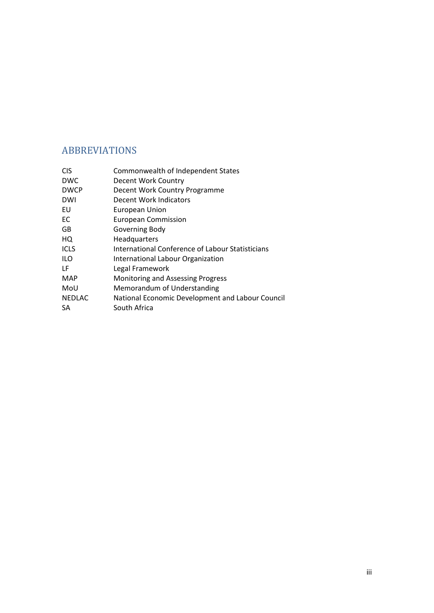# <span id="page-3-0"></span>ABBREVIATIONS

| <b>CIS</b>    | Commonwealth of Independent States               |
|---------------|--------------------------------------------------|
| <b>DWC</b>    | Decent Work Country                              |
| <b>DWCP</b>   | Decent Work Country Programme                    |
| <b>DWI</b>    | Decent Work Indicators                           |
| EU            | European Union                                   |
| EC            | <b>European Commission</b>                       |
| GB            | Governing Body                                   |
| HQ            | Headquarters                                     |
| <b>ICLS</b>   | International Conference of Labour Statisticians |
| <b>ILO</b>    | International Labour Organization                |
| LF            | Legal Framework                                  |
| <b>MAP</b>    | Monitoring and Assessing Progress                |
| MoU           | Memorandum of Understanding                      |
| <b>NEDLAC</b> | National Economic Development and Labour Council |
| SА            | South Africa                                     |
|               |                                                  |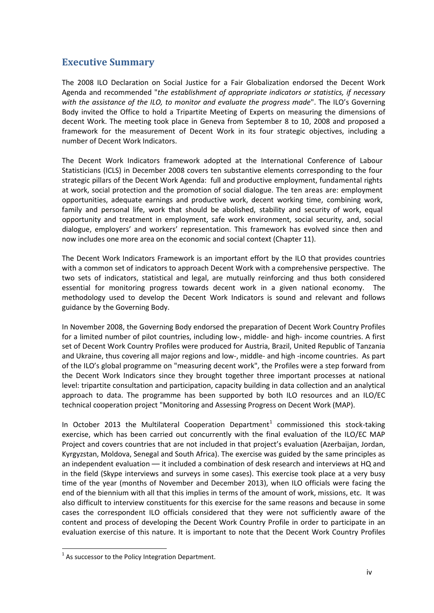### <span id="page-4-0"></span>**Executive Summary**

The 2008 ILO Declaration on Social Justice for a Fair Globalization endorsed the Decent Work Agenda and recommended "*the establishment of appropriate indicators or statistics, if necessary with the assistance of the ILO, to monitor and evaluate the progress made*". The ILO's Governing Body invited the Office to hold a Tripartite Meeting of Experts on measuring the dimensions of decent Work. The meeting took place in Geneva from September 8 to 10, 2008 and proposed a framework for the measurement of Decent Work in its four strategic objectives, including a number of Decent Work Indicators.

The Decent Work Indicators framework adopted at the International Conference of Labour Statisticians (ICLS) in December 2008 covers ten substantive elements corresponding to the four strategic pillars of the Decent Work Agenda: full and productive employment, fundamental rights at work, social protection and the promotion of social dialogue. The ten areas are: employment opportunities, adequate earnings and productive work, decent working time, combining work, family and personal life, work that should be abolished, stability and security of work, equal opportunity and treatment in employment, safe work environment, social security, and, social dialogue, employers' and workers' representation. This framework has evolved since then and now includes one more area on the economic and social context (Chapter 11).

The Decent Work Indicators Framework is an important effort by the ILO that provides countries with a common set of indicators to approach Decent Work with a comprehensive perspective. The two sets of indicators, statistical and legal, are mutually reinforcing and thus both considered essential for monitoring progress towards decent work in a given national economy. The methodology used to develop the Decent Work Indicators is sound and relevant and follows guidance by the Governing Body.

In November 2008, the Governing Body endorsed the preparation of Decent Work Country Profiles for a limited number of pilot countries, including low-, middle- and high- income countries. A first set of Decent Work Country Profiles were produced for Austria, Brazil, United Republic of Tanzania and Ukraine, thus covering all major regions and low-, middle- and high -income countries. As part of the ILO's global programme on "measuring decent work", the Profiles were a step forward from the Decent Work Indicators since they brought together three important processes at national level: tripartite consultation and participation, capacity building in data collection and an analytical approach to data. The programme has been supported by both ILO resources and an ILO/EC technical cooperation project "Monitoring and Assessing Progress on Decent Work (MAP).

In October 20[1](#page-4-1)3 the Multilateral Cooperation Department<sup>1</sup> commissioned this stock-taking exercise, which has been carried out concurrently with the final evaluation of the ILO/EC MAP Project and covers countries that are not included in that project's evaluation (Azerbaijan, Jordan, Kyrgyzstan, Moldova, Senegal and South Africa). The exercise was guided by the same principles as an independent evaluation –– it included a combination of desk research and interviews at HQ and in the field (Skype interviews and surveys in some cases). This exercise took place at a very busy time of the year (months of November and December 2013), when ILO officials were facing the end of the biennium with all that this implies in terms of the amount of work, missions, etc. It was also difficult to interview constituents for this exercise for the same reasons and because in some cases the correspondent ILO officials considered that they were not sufficiently aware of the content and process of developing the Decent Work Country Profile in order to participate in an evaluation exercise of this nature. It is important to note that the Decent Work Country Profiles

<span id="page-4-1"></span> $1$  As successor to the Policy Integration Department.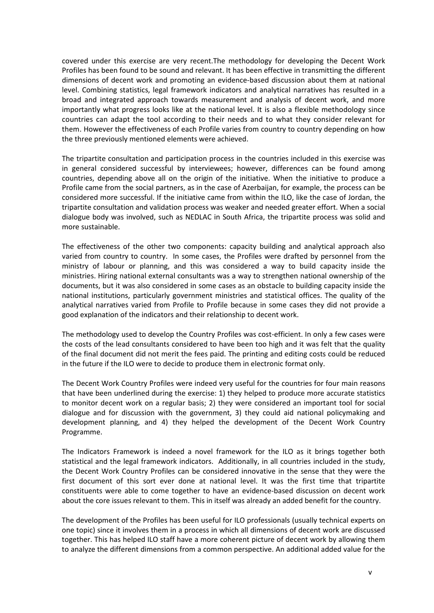covered under this exercise are very recent.The methodology for developing the Decent Work Profiles has been found to be sound and relevant. It has been effective in transmitting the different dimensions of decent work and promoting an evidence-based discussion about them at national level. Combining statistics, legal framework indicators and analytical narratives has resulted in a broad and integrated approach towards measurement and analysis of decent work, and more importantly what progress looks like at the national level. It is also a flexible methodology since countries can adapt the tool according to their needs and to what they consider relevant for them. However the effectiveness of each Profile varies from country to country depending on how the three previously mentioned elements were achieved.

The tripartite consultation and participation process in the countries included in this exercise was in general considered successful by interviewees; however, differences can be found among countries, depending above all on the origin of the initiative. When the initiative to produce a Profile came from the social partners, as in the case of Azerbaijan, for example, the process can be considered more successful. If the initiative came from within the ILO, like the case of Jordan, the tripartite consultation and validation process was weaker and needed greater effort. When a social dialogue body was involved, such as NEDLAC in South Africa, the tripartite process was solid and more sustainable.

The effectiveness of the other two components: capacity building and analytical approach also varied from country to country. In some cases, the Profiles were drafted by personnel from the ministry of labour or planning, and this was considered a way to build capacity inside the ministries. Hiring national external consultants was a way to strengthen national ownership of the documents, but it was also considered in some cases as an obstacle to building capacity inside the national institutions, particularly government ministries and statistical offices. The quality of the analytical narratives varied from Profile to Profile because in some cases they did not provide a good explanation of the indicators and their relationship to decent work.

The methodology used to develop the Country Profiles was cost-efficient. In only a few cases were the costs of the lead consultants considered to have been too high and it was felt that the quality of the final document did not merit the fees paid. The printing and editing costs could be reduced in the future if the ILO were to decide to produce them in electronic format only.

The Decent Work Country Profiles were indeed very useful for the countries for four main reasons that have been underlined during the exercise: 1) they helped to produce more accurate statistics to monitor decent work on a regular basis; 2) they were considered an important tool for social dialogue and for discussion with the government, 3) they could aid national policymaking and development planning, and 4) they helped the development of the Decent Work Country Programme.

The Indicators Framework is indeed a novel framework for the ILO as it brings together both statistical and the legal framework indicators. Additionally, in all countries included in the study, the Decent Work Country Profiles can be considered innovative in the sense that they were the first document of this sort ever done at national level. It was the first time that tripartite constituents were able to come together to have an evidence-based discussion on decent work about the core issues relevant to them. This in itself was already an added benefit for the country.

The development of the Profiles has been useful for ILO professionals (usually technical experts on one topic) since it involves them in a process in which all dimensions of decent work are discussed together. This has helped ILO staff have a more coherent picture of decent work by allowing them to analyze the different dimensions from a common perspective. An additional added value for the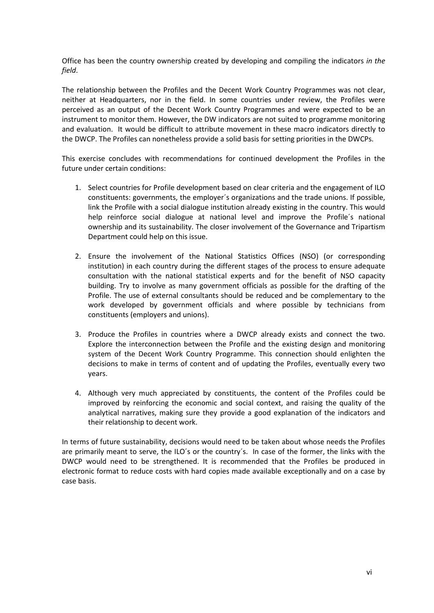Office has been the country ownership created by developing and compiling the indicators *in the field*.

The relationship between the Profiles and the Decent Work Country Programmes was not clear, neither at Headquarters, nor in the field. In some countries under review, the Profiles were perceived as an output of the Decent Work Country Programmes and were expected to be an instrument to monitor them. However, the DW indicators are not suited to programme monitoring and evaluation. It would be difficult to attribute movement in these macro indicators directly to the DWCP. The Profiles can nonetheless provide a solid basis for setting priorities in the DWCPs.

This exercise concludes with recommendations for continued development the Profiles in the future under certain conditions:

- 1. Select countries for Profile development based on clear criteria and the engagement of ILO constituents: governments, the employer´s organizations and the trade unions. If possible, link the Profile with a social dialogue institution already existing in the country. This would help reinforce social dialogue at national level and improve the Profile´s national ownership and its sustainability. The closer involvement of the Governance and Tripartism Department could help on this issue.
- 2. Ensure the involvement of the National Statistics Offices (NSO) (or corresponding institution) in each country during the different stages of the process to ensure adequate consultation with the national statistical experts and for the benefit of NSO capacity building. Try to involve as many government officials as possible for the drafting of the Profile. The use of external consultants should be reduced and be complementary to the work developed by government officials and where possible by technicians from constituents (employers and unions).
- 3. Produce the Profiles in countries where a DWCP already exists and connect the two. Explore the interconnection between the Profile and the existing design and monitoring system of the Decent Work Country Programme. This connection should enlighten the decisions to make in terms of content and of updating the Profiles, eventually every two years.
- 4. Although very much appreciated by constituents, the content of the Profiles could be improved by reinforcing the economic and social context, and raising the quality of the analytical narratives, making sure they provide a good explanation of the indicators and their relationship to decent work.

In terms of future sustainability, decisions would need to be taken about whose needs the Profiles are primarily meant to serve, the ILO´s or the country´s. In case of the former, the links with the DWCP would need to be strengthened. It is recommended that the Profiles be produced in electronic format to reduce costs with hard copies made available exceptionally and on a case by case basis.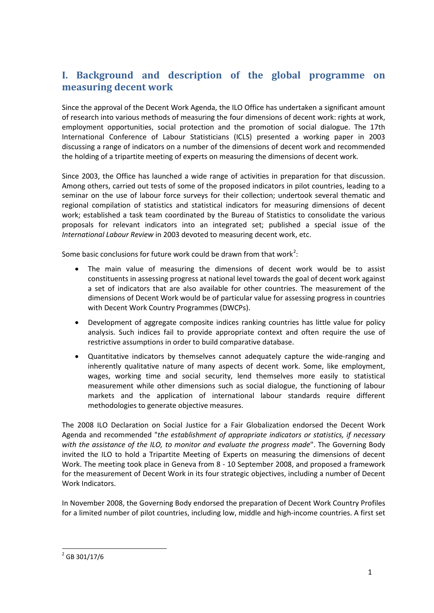# <span id="page-7-0"></span>**I. Background and description of the global programme on measuring decent work**

Since the approval of the Decent Work Agenda, the ILO Office has undertaken a significant amount of research into various methods of measuring the four dimensions of decent work: rights at work, employment opportunities, social protection and the promotion of social dialogue. The 17th International Conference of Labour Statisticians (ICLS) presented a working paper in 2003 discussing a range of indicators on a number of the dimensions of decent work and recommended the holding of a tripartite meeting of experts on measuring the dimensions of decent work.

Since 2003, the Office has launched a wide range of activities in preparation for that discussion. Among others, carried out tests of some of the proposed indicators in pilot countries, leading to a seminar on the use of labour force surveys for their collection; undertook several thematic and regional compilation of statistics and statistical indicators for measuring dimensions of decent work; established a task team coordinated by the Bureau of Statistics to consolidate the various proposals for relevant indicators into an integrated set; published a special issue of the *International Labour Review* in 2003 devoted to measuring decent work, etc.

Some basic conclusions for future work could be drawn from that work<sup>[2](#page-7-1)</sup>:

- The main value of measuring the dimensions of decent work would be to assist constituents in assessing progress at national level towards the goal of decent work against a set of indicators that are also available for other countries. The measurement of the dimensions of Decent Work would be of particular value for assessing progress in countries with Decent Work Country Programmes (DWCPs).
- Development of aggregate composite indices ranking countries has little value for policy analysis. Such indices fail to provide appropriate context and often require the use of restrictive assumptions in order to build comparative database.
- Quantitative indicators by themselves cannot adequately capture the wide-ranging and inherently qualitative nature of many aspects of decent work. Some, like employment, wages, working time and social security, lend themselves more easily to statistical measurement while other dimensions such as social dialogue, the functioning of labour markets and the application of international labour standards require different methodologies to generate objective measures.

The 2008 ILO Declaration on Social Justice for a Fair Globalization endorsed the Decent Work Agenda and recommended "*the establishment of appropriate indicators or statistics, if necessary with the assistance of the ILO, to monitor and evaluate the progress made*". The Governing Body invited the ILO to hold a Tripartite Meeting of Experts on measuring the dimensions of decent Work. The meeting took place in Geneva from 8 - 10 September 2008, and proposed a framework for the measurement of Decent Work in its four strategic objectives, including a number of Decent Work Indicators.

In November 2008, the Governing Body endorsed the preparation of Decent Work Country Profiles for a limited number of pilot countries, including low, middle and high-income countries. A first set

<span id="page-7-1"></span> $2$  GB 301/17/6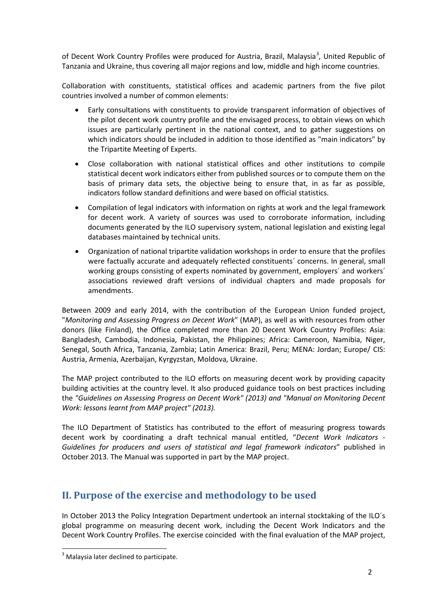of Decent Work Country Profiles were produced for Austria, Brazil, Malaysia<sup>[3](#page-8-1)</sup>, United Republic of Tanzania and Ukraine, thus covering all major regions and low, middle and high income countries.

Collaboration with constituents, statistical offices and academic partners from the five pilot countries involved a number of common elements:

- Early consultations with constituents to provide transparent information of objectives of the pilot decent work country profile and the envisaged process, to obtain views on which issues are particularly pertinent in the national context, and to gather suggestions on which indicators should be included in addition to those identified as "main indicators" by the Tripartite Meeting of Experts.
- Close collaboration with national statistical offices and other institutions to compile statistical decent work indicators either from published sources or to compute them on the basis of primary data sets, the objective being to ensure that, in as far as possible, indicators follow standard definitions and were based on official statistics.
- Compilation of legal indicators with information on rights at work and the legal framework for decent work. A variety of sources was used to corroborate information, including documents generated by the ILO supervisory system, national legislation and existing legal databases maintained by technical units.
- Organization of national tripartite validation workshops in order to ensure that the profiles were factually accurate and adequately reflected constituents´ concerns. In general, small working groups consisting of experts nominated by government, employers´ and workers´ associations reviewed draft versions of individual chapters and made proposals for amendments.

Between 2009 and early 2014, with the contribution of the European Union funded project, "*Monitoring and Assessing Progress on Decent Work*" (MAP), as well as with resources from other donors (like Finland), the Office completed more than 20 Decent Work Country Profiles: Asia: Bangladesh, Cambodia, Indonesia, Pakistan, the Philippines; Africa: Cameroon, Namibia, Niger, Senegal, South Africa, Tanzania, Zambia; Latin America: Brazil, Peru; MENA: Jordan; Europe/ CIS: Austria, Armenia, Azerbaijan, Kyrgyzstan, Moldova, Ukraine.

The MAP project contributed to the ILO efforts on measuring decent work by providing capacity building activities at the country level. It also produced guidance tools on best practices including the *"Guidelines on Assessing Progress on Decent Work" (2013) and "Manual on Monitoring Decent Work: lessons learnt from MAP project" (2013).*

The ILO Department of Statistics has contributed to the effort of measuring progress towards decent work by coordinating a draft technical manual entitled, "*Decent Work Indicators - Guidelines for producers and users of statistical and legal framework indicators*" published in October 2013. The Manual was supported in part by the MAP project.

## <span id="page-8-0"></span>**II. Purpose of the exercise and methodology to be used**

In October 2013 the Policy Integration Department undertook an internal stocktaking of the ILO´s global programme on measuring decent work, including the Decent Work Indicators and the Decent Work Country Profiles. The exercise coincided with the final evaluation of the MAP project,

<span id="page-8-1"></span> $3$  Malaysia later declined to participate.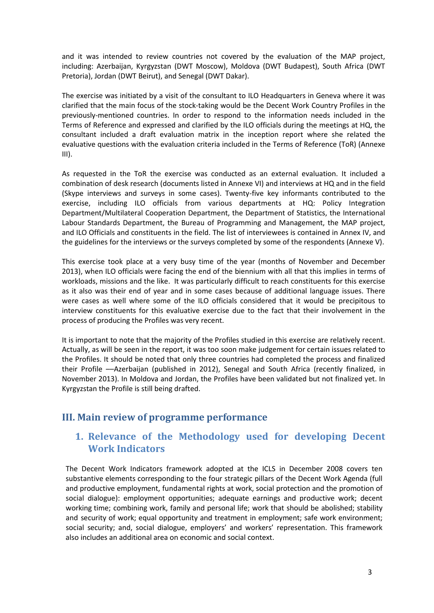and it was intended to review countries not covered by the evaluation of the MAP project, including: Azerbaijan, Kyrgyzstan (DWT Moscow), Moldova (DWT Budapest), South Africa (DWT Pretoria), Jordan (DWT Beirut), and Senegal (DWT Dakar).

The exercise was initiated by a visit of the consultant to ILO Headquarters in Geneva where it was clarified that the main focus of the stock-taking would be the Decent Work Country Profiles in the previously-mentioned countries. In order to respond to the information needs included in the Terms of Reference and expressed and clarified by the ILO officials during the meetings at HQ, the consultant included a draft evaluation matrix in the inception report where she related the evaluative questions with the evaluation criteria included in the Terms of Reference (ToR) (Annexe III).

As requested in the ToR the exercise was conducted as an external evaluation. It included a combination of desk research (documents listed in Annexe VI) and interviews at HQ and in the field (Skype interviews and surveys in some cases). Twenty-five key informants contributed to the exercise, including ILO officials from various departments at HQ: Policy Integration Department/Multilateral Cooperation Department, the Department of Statistics, the International Labour Standards Department, the Bureau of Programming and Management, the MAP project, and ILO Officials and constituents in the field. The list of interviewees is contained in Annex IV, and the guidelines for the interviews or the surveys completed by some of the respondents (Annexe V).

This exercise took place at a very busy time of the year (months of November and December 2013), when ILO officials were facing the end of the biennium with all that this implies in terms of workloads, missions and the like. It was particularly difficult to reach constituents for this exercise as it also was their end of year and in some cases because of additional language issues. There were cases as well where some of the ILO officials considered that it would be precipitous to interview constituents for this evaluative exercise due to the fact that their involvement in the process of producing the Profiles was very recent.

It is important to note that the majority of the Profiles studied in this exercise are relatively recent. Actually, as will be seen in the report, it was too soon make judgement for certain issues related to the Profiles. It should be noted that only three countries had completed the process and finalized their Profile ––Azerbaijan (published in 2012), Senegal and South Africa (recently finalized, in November 2013). In Moldova and Jordan, the Profiles have been validated but not finalized yet. In Kyrgyzstan the Profile is still being drafted.

## <span id="page-9-1"></span><span id="page-9-0"></span>**III. Main review of programme performance**

## **1. Relevance of the Methodology used for developing Decent Work Indicators**

The Decent Work Indicators framework adopted at the ICLS in December 2008 covers ten substantive elements corresponding to the four strategic pillars of the Decent Work Agenda (full and productive employment, fundamental rights at work, social protection and the promotion of social dialogue): employment opportunities; adequate earnings and productive work; decent working time; combining work, family and personal life; work that should be abolished; stability and security of work; equal opportunity and treatment in employment; safe work environment; social security; and, social dialogue, employers' and workers' representation. This framework also includes an additional area on economic and social context.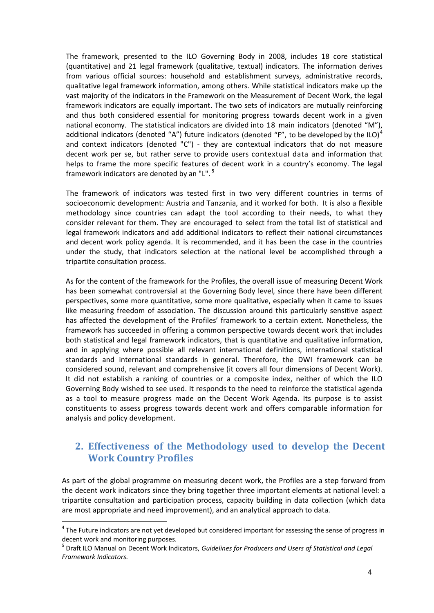The framework, presented to the ILO Governing Body in 2008, includes 18 core statistical (quantitative) and 21 legal framework (qualitative, textual) indicators. The information derives from various official sources: household and establishment surveys, administrative records, qualitative legal framework information, among others. While statistical indicators make up the vast majority of the indicators in the Framework on the Measurement of Decent Work, the legal framework indicators are equally important. The two sets of indicators are mutually reinforcing and thus both considered essential for monitoring progress towards decent work in a given national economy. The statistical indicators are divided into 18 main indicators (denoted "M"), additional indicators (denoted "A") future indicators (denoted "F", to be developed by the ILO)<sup>[4](#page-10-1)</sup> and context indicators (denoted "C") - they are contextual indicators that do not measure decent work per se, but rather serve to provide users contextual data and information that helps to frame the more specific features of decent work in a country's economy. The legal framework indicators are denoted by an "L". **[5](#page-10-2)**

The framework of indicators was tested first in two very different countries in terms of socioeconomic development: Austria and Tanzania, and it worked for both. It is also a flexible methodology since countries can adapt the tool according to their needs, to what they consider relevant for them. They are encouraged to select from the total list of statistical and legal framework indicators and add additional indicators to reflect their national circumstances and decent work policy agenda. It is recommended, and it has been the case in the countries under the study, that indicators selection at the national level be accomplished through a tripartite consultation process.

As for the content of the framework for the Profiles, the overall issue of measuring Decent Work has been somewhat controversial at the Governing Body level, since there have been different perspectives, some more quantitative, some more qualitative, especially when it came to issues like measuring freedom of association. The discussion around this particularly sensitive aspect has affected the development of the Profiles' framework to a certain extent. Nonetheless, the framework has succeeded in offering a common perspective towards decent work that includes both statistical and legal framework indicators, that is quantitative and qualitative information, and in applying where possible all relevant international definitions, international statistical standards and international standards in general. Therefore, the DWI framework can be considered sound, relevant and comprehensive (it covers all four dimensions of Decent Work). It did not establish a ranking of countries or a composite index, neither of which the ILO Governing Body wished to see used. It responds to the need to reinforce the statistical agenda as a tool to measure progress made on the Decent Work Agenda. Its purpose is to assist constituents to assess progress towards decent work and offers comparable information for analysis and policy development.

## <span id="page-10-0"></span>**2. Effectiveness of the Methodology used to develop the Decent Work Country Profiles**

As part of the global programme on measuring decent work, the Profiles are a step forward from the decent work indicators since they bring together three important elements at national level: a tripartite consultation and participation process, capacity building in data collection (which data are most appropriate and need improvement), and an analytical approach to data.

<span id="page-10-1"></span> $4$  The Future indicators are not yet developed but considered important for assessing the sense of progress in decent work and monitoring purposes.

<span id="page-10-2"></span><sup>5</sup> Draft ILO Manual on Decent Work Indicators, *Guidelines for Producers and Users of Statistical and Legal Framework Indicators.*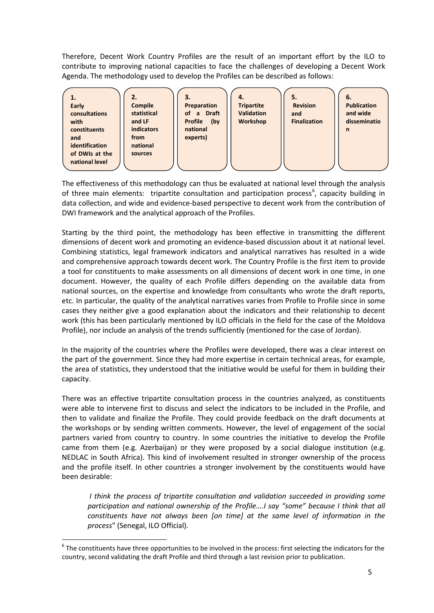Therefore, Decent Work Country Profiles are the result of an important effort by the ILO to contribute to improving national capacities to face the challenges of developing a Decent Work Agenda. The methodology used to develop the Profiles can be described as follows:

| 2.<br>1.<br><b>Compile</b><br>Early<br>statistical<br>consultations<br>and LF<br>with<br><b>indicators</b><br>constituents<br>from<br>and<br>national<br>identification<br>of DWIs at the<br>sources<br>national level | 3.<br>Preparation<br>of a Draft<br><b>Profile</b><br>(by)<br>national<br>experts) | 4.<br><b>Tripartite</b><br><b>Validation</b><br><b>Workshop</b> | 5.<br><b>Revision</b><br>and<br><b>Finalization</b> | 6.<br><b>Publication</b><br>and wide<br>disseminatio<br>$\mathsf{n}$ |
|------------------------------------------------------------------------------------------------------------------------------------------------------------------------------------------------------------------------|-----------------------------------------------------------------------------------|-----------------------------------------------------------------|-----------------------------------------------------|----------------------------------------------------------------------|
|------------------------------------------------------------------------------------------------------------------------------------------------------------------------------------------------------------------------|-----------------------------------------------------------------------------------|-----------------------------------------------------------------|-----------------------------------------------------|----------------------------------------------------------------------|

The effectiveness of this methodology can thus be evaluated at national level through the analysis of three main elements: tripartite consultation and participation process<sup>[6](#page-11-0)</sup>, capacity building in data collection, and wide and evidence-based perspective to decent work from the contribution of DWI framework and the analytical approach of the Profiles.

Starting by the third point, the methodology has been effective in transmitting the different dimensions of decent work and promoting an evidence-based discussion about it at national level. Combining statistics, legal framework indicators and analytical narratives has resulted in a wide and comprehensive approach towards decent work. The Country Profile is the first item to provide a tool for constituents to make assessments on all dimensions of decent work in one time, in one document. However, the quality of each Profile differs depending on the available data from national sources, on the expertise and knowledge from consultants who wrote the draft reports, etc. In particular, the quality of the analytical narratives varies from Profile to Profile since in some cases they neither give a good explanation about the indicators and their relationship to decent work (this has been particularly mentioned by ILO officials in the field for the case of the Moldova Profile), nor include an analysis of the trends sufficiently (mentioned for the case of Jordan).

In the majority of the countries where the Profiles were developed, there was a clear interest on the part of the government. Since they had more expertise in certain technical areas, for example, the area of statistics, they understood that the initiative would be useful for them in building their capacity.

There was an effective tripartite consultation process in the countries analyzed, as constituents were able to intervene first to discuss and select the indicators to be included in the Profile, and then to validate and finalize the Profile. They could provide feedback on the draft documents at the workshops or by sending written comments. However, the level of engagement of the social partners varied from country to country. In some countries the initiative to develop the Profile came from them (e.g. Azerbaijan) or they were proposed by a social dialogue institution (e.g. NEDLAC in South Africa). This kind of involvement resulted in stronger ownership of the process and the profile itself. In other countries a stronger involvement by the constituents would have been desirable:

*I think the process of tripartite consultation and validation succeeded in providing some participation and national ownership of the Profile….I say "some" because I think that all constituents have not always been [on time] at the same level of information in the process*" (Senegal, ILO Official).

<span id="page-11-0"></span> $6$  The constituents have three opportunities to be involved in the process: first selecting the indicators for the country, second validating the draft Profile and third through a last revision prior to publication.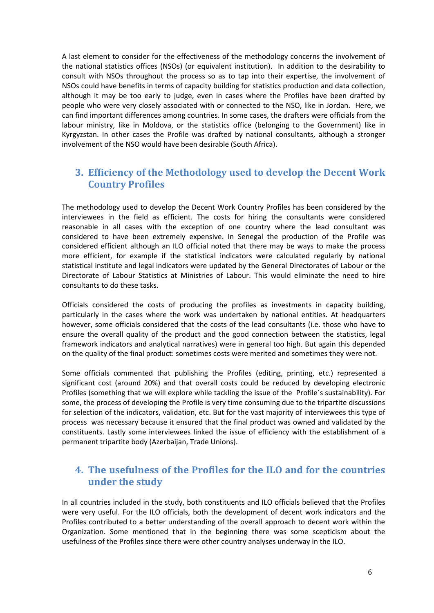A last element to consider for the effectiveness of the methodology concerns the involvement of the national statistics offices (NSOs) (or equivalent institution). In addition to the desirability to consult with NSOs throughout the process so as to tap into their expertise, the involvement of NSOs could have benefits in terms of capacity building for statistics production and data collection, although it may be too early to judge, even in cases where the Profiles have been drafted by people who were very closely associated with or connected to the NSO, like in Jordan. Here, we can find important differences among countries. In some cases, the drafters were officials from the labour ministry, like in Moldova, or the statistics office (belonging to the Government) like in Kyrgyzstan. In other cases the Profile was drafted by national consultants, although a stronger involvement of the NSO would have been desirable (South Africa).

## <span id="page-12-0"></span>**3. Efficiency of the Methodology used to develop the Decent Work Country Profiles**

The methodology used to develop the Decent Work Country Profiles has been considered by the interviewees in the field as efficient. The costs for hiring the consultants were considered reasonable in all cases with the exception of one country where the lead consultant was considered to have been extremely expensive. In Senegal the production of the Profile was considered efficient although an ILO official noted that there may be ways to make the process more efficient, for example if the statistical indicators were calculated regularly by national statistical institute and legal indicators were updated by the General Directorates of Labour or the Directorate of Labour Statistics at Ministries of Labour. This would eliminate the need to hire consultants to do these tasks.

Officials considered the costs of producing the profiles as investments in capacity building, particularly in the cases where the work was undertaken by national entities. At headquarters however, some officials considered that the costs of the lead consultants (i.e. those who have to ensure the overall quality of the product and the good connection between the statistics, legal framework indicators and analytical narratives) were in general too high. But again this depended on the quality of the final product: sometimes costs were merited and sometimes they were not.

Some officials commented that publishing the Profiles (editing, printing, etc.) represented a significant cost (around 20%) and that overall costs could be reduced by developing electronic Profiles (something that we will explore while tackling the issue of the Profile´s sustainability). For some, the process of developing the Profile is very time consuming due to the tripartite discussions for selection of the indicators, validation, etc. But for the vast majority of interviewees this type of process was necessary because it ensured that the final product was owned and validated by the constituents. Lastly some interviewees linked the issue of efficiency with the establishment of a permanent tripartite body (Azerbaijan, Trade Unions).

## <span id="page-12-1"></span>**4. The usefulness of the Profiles for the ILO and for the countries under the study**

In all countries included in the study, both constituents and ILO officials believed that the Profiles were very useful. For the ILO officials, both the development of decent work indicators and the Profiles contributed to a better understanding of the overall approach to decent work within the Organization. Some mentioned that in the beginning there was some scepticism about the usefulness of the Profiles since there were other country analyses underway in the ILO.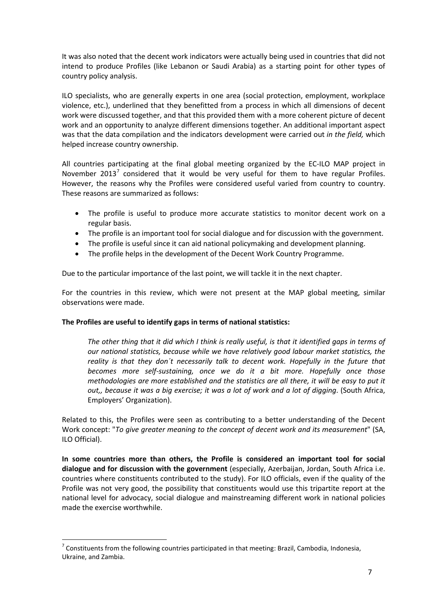It was also noted that the decent work indicators were actually being used in countries that did not intend to produce Profiles (like Lebanon or Saudi Arabia) as a starting point for other types of country policy analysis.

ILO specialists, who are generally experts in one area (social protection, employment, workplace violence, etc.), underlined that they benefitted from a process in which all dimensions of decent work were discussed together, and that this provided them with a more coherent picture of decent work and an opportunity to analyze different dimensions together. An additional important aspect was that the data compilation and the indicators development were carried out *in the field,* which helped increase country ownership.

All countries participating at the final global meeting organized by the EC-ILO MAP project in November 2013<sup>[7](#page-13-0)</sup> considered that it would be very useful for them to have regular Profiles. However, the reasons why the Profiles were considered useful varied from country to country. These reasons are summarized as follows:

- The profile is useful to produce more accurate statistics to monitor decent work on a regular basis.
- The profile is an important tool for social dialogue and for discussion with the government.
- The profile is useful since it can aid national policymaking and development planning.
- The profile helps in the development of the Decent Work Country Programme.

Due to the particular importance of the last point, we will tackle it in the next chapter.

For the countries in this review, which were not present at the MAP global meeting, similar observations were made.

### **The Profiles are useful to identify gaps in terms of national statistics:**

*The other thing that it did which I think is really useful, is that it identified gaps in terms of our national statistics, because while we have relatively good labour market statistics, the reality is that they don´t necessarily talk to decent work. Hopefully in the future that becomes more self-sustaining, once we do it a bit more. Hopefully once those methodologies are more established and the statistics are all there, it will be easy to put it out,, because it was a big exercise; it was a lot of work and a lot of digging*. (South Africa, Employers' Organization).

Related to this, the Profiles were seen as contributing to a better understanding of the Decent Work concept: "*To give greater meaning to the concept of decent work and its measurement*" (SA, ILO Official).

**In some countries more than others, the Profile is considered an important tool for social dialogue and for discussion with the government** (especially, Azerbaijan, Jordan, South Africa i.e. countries where constituents contributed to the study). For ILO officials, even if the quality of the Profile was not very good, the possibility that constituents would use this tripartite report at the national level for advocacy, social dialogue and mainstreaming different work in national policies made the exercise worthwhile.

<span id="page-13-0"></span> $7$  Constituents from the following countries participated in that meeting: Brazil, Cambodia, Indonesia, Ukraine, and Zambia.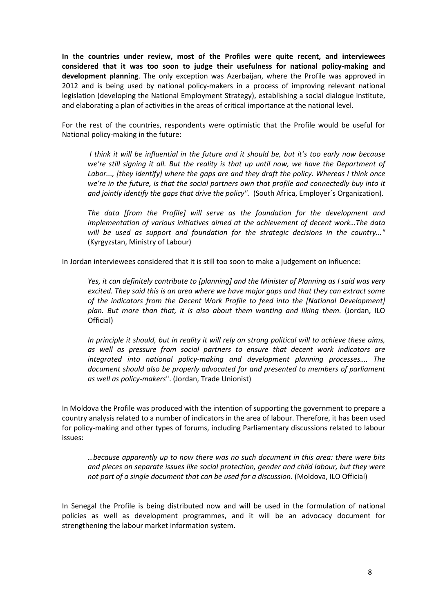**In the countries under review, most of the Profiles were quite recent, and interviewees considered that it was too soon to judge their usefulness for national policy-making and development planning**. The only exception was Azerbaijan, where the Profile was approved in 2012 and is being used by national policy-makers in a process of improving relevant national legislation (developing the National Employment Strategy), establishing a social dialogue institute, and elaborating a plan of activities in the areas of critical importance at the national level.

For the rest of the countries, respondents were optimistic that the Profile would be useful for National policy-making in the future:

*I think it will be influential in the future and it should be, but it's too early now because we're still signing it all. But the reality is that up until now, we have the Department of Labor..., [they identify] where the gaps are and they draft the policy. Whereas I think once we're in the future, is that the social partners own that profile and connectedly buy into it and jointly identify the gaps that drive the policy".* (South Africa, Employer´s Organization).

*The data [from the Profile] will serve as the foundation for the development and implementation of various initiatives aimed at the achievement of decent work…The data will be used as support and foundation for the strategic decisions in the country..."* (Kyrgyzstan, Ministry of Labour)

In Jordan interviewees considered that it is still too soon to make a judgement on influence:

*Yes, it can definitely contribute to [planning] and the Minister of Planning as I said was very excited. They said this is an area where we have major gaps and that they can extract some of the indicators from the Decent Work Profile to feed into the [National Development] plan. But more than that, it is also about them wanting and liking them.* (Jordan, ILO Official)

*In principle it should, but in reality it will rely on strong political will to achieve these aims, as well as pressure from social partners to ensure that decent work indicators are integrated into national policy-making and development planning processes…. The document should also be properly advocated for and presented to members of parliament as well as policy-makers*". (Jordan, Trade Unionist)

In Moldova the Profile was produced with the intention of supporting the government to prepare a country analysis related to a number of indicators in the area of labour. Therefore, it has been used for policy-making and other types of forums, including Parliamentary discussions related to labour issues:

*…because apparently up to now there was no such document in this area: there were bits and pieces on separate issues like social protection, gender and child labour, but they were not part of a single document that can be used for a discussion*. (Moldova, ILO Official)

In Senegal the Profile is being distributed now and will be used in the formulation of national policies as well as development programmes, and it will be an advocacy document for strengthening the labour market information system.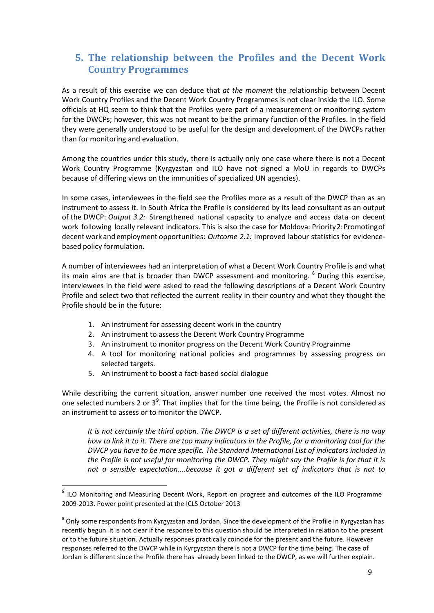# <span id="page-15-0"></span>**5. The relationship between the Profiles and the Decent Work Country Programmes**

As a result of this exercise we can deduce that *at the moment* the relationship between Decent Work Country Profiles and the Decent Work Country Programmes is not clear inside the ILO. Some officials at HQ seem to think that the Profiles were part of a measurement or monitoring system for the DWCPs; however, this was not meant to be the primary function of the Profiles. In the field they were generally understood to be useful for the design and development of the DWCPs rather than for monitoring and evaluation.

Among the countries under this study, there is actually only one case where there is not a Decent Work Country Programme (Kyrgyzstan and ILO have not signed a MoU in regards to DWCPs because of differing views on the immunities of specialized UN agencies).

In some cases, interviewees in the field see the Profiles more as a result of the DWCP than as an instrument to assess it. In South Africa the Profile is considered by its lead consultant as an output of the DWCP: *Output 3.2:* Strengthened national capacity to analyze and access data on decent work following locally relevant indicators. This is also the case for Moldova: Priority2:Promotingof decent work and employment opportunities: *Outcome 2.1:* Improved labour statistics for evidencebased policy formulation.

A number of interviewees had an interpretation of what a Decent Work Country Profile is and what its main aims are that is broader than DWCP assessment and monitoring. <sup>[8](#page-15-1)</sup> During this exercise, interviewees in the field were asked to read the following descriptions of a Decent Work Country Profile and select two that reflected the current reality in their country and what they thought the Profile should be in the future:

- 1. An instrument for assessing decent work in the country
- 2. An instrument to assess the Decent Work Country Programme
- 3. An instrument to monitor progress on the Decent Work Country Programme
- 4. A tool for monitoring national policies and programmes by assessing progress on selected targets.
- 5. An instrument to boost a fact-based social dialogue

While describing the current situation, answer number one received the most votes. Almost no one selected numbers 2 or  $3<sup>9</sup>$  $3<sup>9</sup>$  $3<sup>9</sup>$ . That implies that for the time being, the Profile is not considered as an instrument to assess or to monitor the DWCP.

*It is not certainly the third option. The DWCP is a set of different activities, there is no way how to link it to it. There are too many indicators in the Profile, for a monitoring tool for the DWCP you have to be more specific. The Standard International List of indicators included in the Profile is not useful for monitoring the DWCP. They might say the Profile is for that it is not a sensible expectation....because it got a different set of indicators that is not to* 

<span id="page-15-1"></span><sup>&</sup>lt;sup>8</sup> ILO Monitoring and Measuring Decent Work, Report on progress and outcomes of the ILO Programme 2009-2013. Power point presented at the ICLS October 2013

<span id="page-15-2"></span><sup>&</sup>lt;sup>9</sup> Only some respondents from Kyrgyzstan and Jordan. Since the development of the Profile in Kyrgyzstan has recently begun it is not clear if the response to this question should be interpreted in relation to the present or to the future situation. Actually responses practically coincide for the present and the future. However responses referred to the DWCP while in Kyrgyzstan there is not a DWCP for the time being. The case of Jordan is different since the Profile there has already been linked to the DWCP, as we will further explain.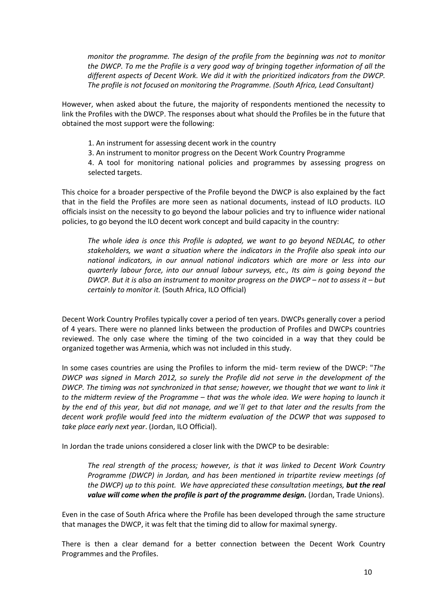*monitor the programme. The design of the profile from the beginning was not to monitor the DWCP. To me the Profile is a very good way of bringing together information of all the different aspects of Decent Work. We did it with the prioritized indicators from the DWCP. The profile is not focused on monitoring the Programme. (South Africa, Lead Consultant)*

However, when asked about the future, the majority of respondents mentioned the necessity to link the Profiles with the DWCP. The responses about what should the Profiles be in the future that obtained the most support were the following:

- 1. An instrument for assessing decent work in the country
- 3. An instrument to monitor progress on the Decent Work Country Programme

4. A tool for monitoring national policies and programmes by assessing progress on selected targets.

This choice for a broader perspective of the Profile beyond the DWCP is also explained by the fact that in the field the Profiles are more seen as national documents, instead of ILO products. ILO officials insist on the necessity to go beyond the labour policies and try to influence wider national policies, to go beyond the ILO decent work concept and build capacity in the country:

*The whole idea is once this Profile is adopted, we want to go beyond NEDLAC, to other stakeholders, we want a situation where the indicators in the Profile also speak into our national indicators, in our annual national indicators which are more or less into our quarterly labour force, into our annual labour surveys, etc., Its aim is going beyond the DWCP. But it is also an instrument to monitor progress on the DWCP – not to assess it – but certainly to monitor it.* (South Africa, ILO Official)

Decent Work Country Profiles typically cover a period of ten years. DWCPs generally cover a period of 4 years. There were no planned links between the production of Profiles and DWCPs countries reviewed. The only case where the timing of the two coincided in a way that they could be organized together was Armenia, which was not included in this study.

In some cases countries are using the Profiles to inform the mid- term review of the DWCP: "*The DWCP was signed in March 2012, so surely the Profile did not serve in the development of the DWCP. The timing was not synchronized in that sense; however, we thought that we want to link it to the midterm review of the Programme – that was the whole idea. We were hoping to launch it by the end of this year, but did not manage, and we´ll get to that later and the results from the decent work profile would feed into the midterm evaluation of the DCWP that was supposed to take place early next year*. (Jordan, ILO Official).

In Jordan the trade unions considered a closer link with the DWCP to be desirable:

*The real strength of the process; however, is that it was linked to Decent Work Country Programme (DWCP) in Jordan, and has been mentioned in tripartite review meetings (of the DWCP) up to this point. We have appreciated these consultation meetings, but the real value will come when the profile is part of the programme design.* (Jordan, Trade Unions).

Even in the case of South Africa where the Profile has been developed through the same structure that manages the DWCP, it was felt that the timing did to allow for maximal synergy.

There is then a clear demand for a better connection between the Decent Work Country Programmes and the Profiles.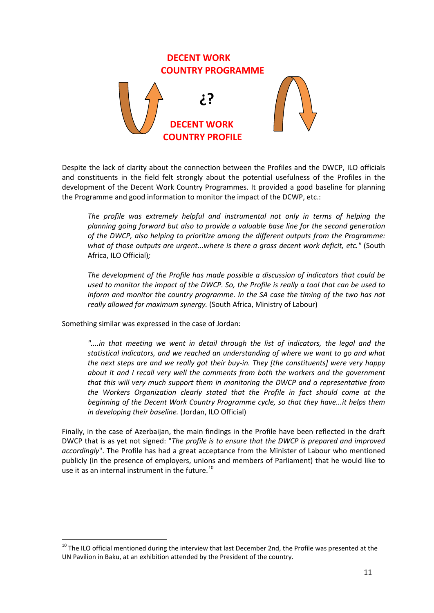

Despite the lack of clarity about the connection between the Profiles and the DWCP, ILO officials and constituents in the field felt strongly about the potential usefulness of the Profiles in the development of the Decent Work Country Programmes. It provided a good baseline for planning the Programme and good information to monitor the impact of the DCWP, etc.:

*The profile was extremely helpful and instrumental not only in terms of helping the planning going forward but also to provide a valuable base line for the second generation of the DWCP, also helping to prioritize among the different outputs from the Programme: what of those outputs are urgent...where is there a gross decent work deficit, etc."* (South Africa, ILO Official)*;* 

*The development of the Profile has made possible a discussion of indicators that could be used to monitor the impact of the DWCP. So, the Profile is really a tool that can be used to inform and monitor the country programme. In the SA case the timing of the two has not really allowed for maximum synergy.* (South Africa, Ministry of Labour)

Something similar was expressed in the case of Jordan:

*"....in that meeting we went in detail through the list of indicators, the legal and the statistical indicators, and we reached an understanding of where we want to go and what the next steps are and we really got their buy-in. They [the constituents] were very happy about it and I recall very well the comments from both the workers and the government that this will very much support them in monitoring the DWCP and a representative from the Workers Organization clearly stated that the Profile in fact should come at the beginning of the Decent Work Country Programme cycle, so that they have...it helps them in developing their baseline.* (Jordan, ILO Official)

Finally, in the case of Azerbaijan, the main findings in the Profile have been reflected in the draft DWCP that is as yet not signed: "*The profile is to ensure that the DWCP is prepared and improved accordingly*". The Profile has had a great acceptance from the Minister of Labour who mentioned publicly (in the presence of employers, unions and members of Parliament) that he would like to use it as an internal instrument in the future.<sup>[10](#page-17-0)</sup>

<span id="page-17-0"></span> $10$  The ILO official mentioned during the interview that last December 2nd, the Profile was presented at the UN Pavilion in Baku, at an exhibition attended by the President of the country.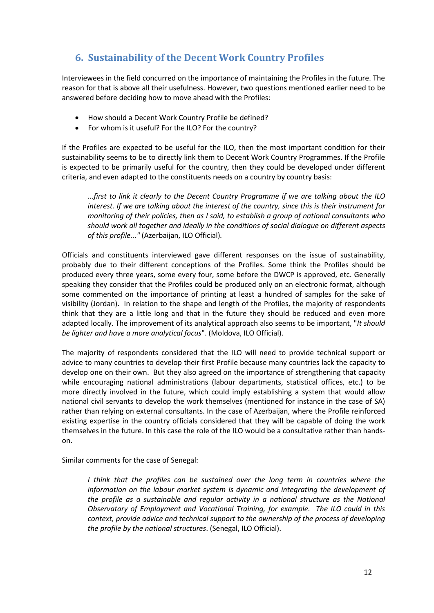# <span id="page-18-0"></span>**6. Sustainability of the Decent Work Country Profiles**

Interviewees in the field concurred on the importance of maintaining the Profiles in the future. The reason for that is above all their usefulness. However, two questions mentioned earlier need to be answered before deciding how to move ahead with the Profiles:

- How should a Decent Work Country Profile be defined?
- For whom is it useful? For the ILO? For the country?

If the Profiles are expected to be useful for the ILO, then the most important condition for their sustainability seems to be to directly link them to Decent Work Country Programmes. If the Profile is expected to be primarily useful for the country, then they could be developed under different criteria, and even adapted to the constituents needs on a country by country basis:

*...first to link it clearly to the Decent Country Programme if we are talking about the ILO interest. If we are talking about the interest of the country, since this is their instrument for monitoring of their policies, then as I said, to establish a group of national consultants who should work all together and ideally in the conditions of social dialogue on different aspects of this profile..."* (Azerbaijan, ILO Official)*.*

Officials and constituents interviewed gave different responses on the issue of sustainability, probably due to their different conceptions of the Profiles. Some think the Profiles should be produced every three years, some every four, some before the DWCP is approved, etc. Generally speaking they consider that the Profiles could be produced only on an electronic format, although some commented on the importance of printing at least a hundred of samples for the sake of visibility (Jordan). In relation to the shape and length of the Profiles, the majority of respondents think that they are a little long and that in the future they should be reduced and even more adapted locally. The improvement of its analytical approach also seems to be important, "*It should be lighter and have a more analytical focus*". (Moldova, ILO Official).

The majority of respondents considered that the ILO will need to provide technical support or advice to many countries to develop their first Profile because many countries lack the capacity to develop one on their own. But they also agreed on the importance of strengthening that capacity while encouraging national administrations (labour departments, statistical offices, etc.) to be more directly involved in the future, which could imply establishing a system that would allow national civil servants to develop the work themselves (mentioned for instance in the case of SA) rather than relying on external consultants. In the case of Azerbaijan, where the Profile reinforced existing expertise in the country officials considered that they will be capable of doing the work themselves in the future. In this case the role of the ILO would be a consultative rather than handson.

Similar comments for the case of Senegal:

*I* think that the profiles can be sustained over the long term in countries where the *information on the labour market system is dynamic and integrating the development of the profile as a sustainable and regular activity in a national structure as the National Observatory of Employment and Vocational Training, for example. The ILO could in this context, provide advice and technical support to the ownership of the process of developing the profile by the national structures*. (Senegal, ILO Official).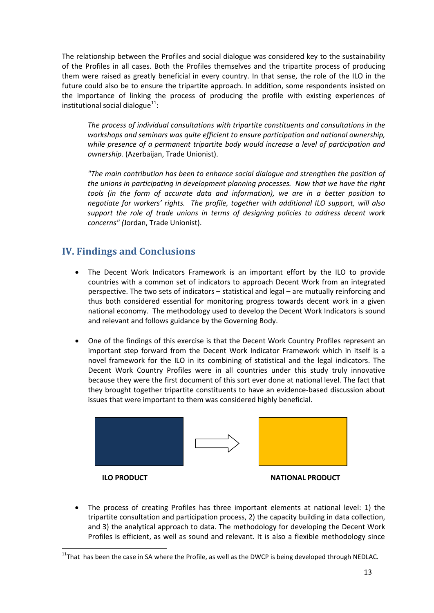The relationship between the Profiles and social dialogue was considered key to the sustainability of the Profiles in all cases. Both the Profiles themselves and the tripartite process of producing them were raised as greatly beneficial in every country. In that sense, the role of the ILO in the future could also be to ensure the tripartite approach. In addition, some respondents insisted on the importance of linking the process of producing the profile with existing experiences of institutional social dialogue $^{11}$ :

*The process of individual consultations with tripartite constituents and consultations in the workshops and seminars was quite efficient to ensure participation and national ownership, while presence of a permanent tripartite body would increase a level of participation and ownership.* (Azerbaijan, Trade Unionist).

*"The main contribution has been to enhance social dialogue and strengthen the position of the unions in participating in development planning processes. Now that we have the right tools (in the form of accurate data and information), we are in a better position to negotiate for workers' rights. The profile, together with additional ILO support, will also support the role of trade unions in terms of designing policies to address decent work concerns" (*Jordan, Trade Unionist).

## <span id="page-19-0"></span>**IV. Findings and Conclusions**

- The Decent Work Indicators Framework is an important effort by the ILO to provide countries with a common set of indicators to approach Decent Work from an integrated perspective. The two sets of indicators – statistical and legal – are mutually reinforcing and thus both considered essential for monitoring progress towards decent work in a given national economy. The methodology used to develop the Decent Work Indicators is sound and relevant and follows guidance by the Governing Body.
- One of the findings of this exercise is that the Decent Work Country Profiles represent an important step forward from the Decent Work Indicator Framework which in itself is a novel framework for the ILO in its combining of statistical and the legal indicators. The Decent Work Country Profiles were in all countries under this study truly innovative because they were the first document of this sort ever done at national level. The fact that they brought together tripartite constituents to have an evidence-based discussion about issues that were important to them was considered highly beneficial.



• The process of creating Profiles has three important elements at national level: 1) the tripartite consultation and participation process, 2) the capacity building in data collection, and 3) the analytical approach to data. The methodology for developing the Decent Work Profiles is efficient, as well as sound and relevant. It is also a flexible methodology since

<span id="page-19-1"></span> $11$ <sup>T</sup>hat has been the case in SA where the Profile, as well as the DWCP is being developed through NEDLAC.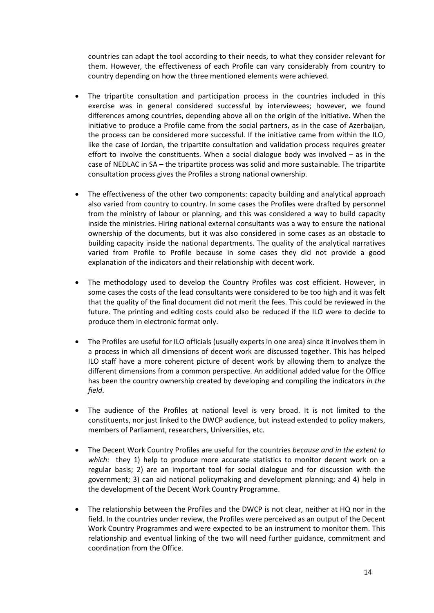countries can adapt the tool according to their needs, to what they consider relevant for them. However, the effectiveness of each Profile can vary considerably from country to country depending on how the three mentioned elements were achieved.

- The tripartite consultation and participation process in the countries included in this exercise was in general considered successful by interviewees; however, we found differences among countries, depending above all on the origin of the initiative. When the initiative to produce a Profile came from the social partners, as in the case of Azerbaijan, the process can be considered more successful. If the initiative came from within the ILO, like the case of Jordan, the tripartite consultation and validation process requires greater effort to involve the constituents. When a social dialogue body was involved  $-$  as in the case of NEDLAC in SA – the tripartite process was solid and more sustainable. The tripartite consultation process gives the Profiles a strong national ownership.
- The effectiveness of the other two components: capacity building and analytical approach also varied from country to country. In some cases the Profiles were drafted by personnel from the ministry of labour or planning, and this was considered a way to build capacity inside the ministries. Hiring national external consultants was a way to ensure the national ownership of the documents, but it was also considered in some cases as an obstacle to building capacity inside the national departments. The quality of the analytical narratives varied from Profile to Profile because in some cases they did not provide a good explanation of the indicators and their relationship with decent work.
- The methodology used to develop the Country Profiles was cost efficient. However, in some cases the costs of the lead consultants were considered to be too high and it was felt that the quality of the final document did not merit the fees. This could be reviewed in the future. The printing and editing costs could also be reduced if the ILO were to decide to produce them in electronic format only.
- The Profiles are useful for ILO officials (usually experts in one area) since it involves them in a process in which all dimensions of decent work are discussed together. This has helped ILO staff have a more coherent picture of decent work by allowing them to analyze the different dimensions from a common perspective. An additional added value for the Office has been the country ownership created by developing and compiling the indicators *in the field*.
- The audience of the Profiles at national level is very broad. It is not limited to the constituents, nor just linked to the DWCP audience, but instead extended to policy makers, members of Parliament, researchers, Universities, etc.
- The Decent Work Country Profiles are useful for the countries *because and in the extent to which:* they 1) help to produce more accurate statistics to monitor decent work on a regular basis; 2) are an important tool for social dialogue and for discussion with the government; 3) can aid national policymaking and development planning; and 4) help in the development of the Decent Work Country Programme.
- The relationship between the Profiles and the DWCP is not clear, neither at HQ nor in the field. In the countries under review, the Profiles were perceived as an output of the Decent Work Country Programmes and were expected to be an instrument to monitor them. This relationship and eventual linking of the two will need further guidance, commitment and coordination from the Office.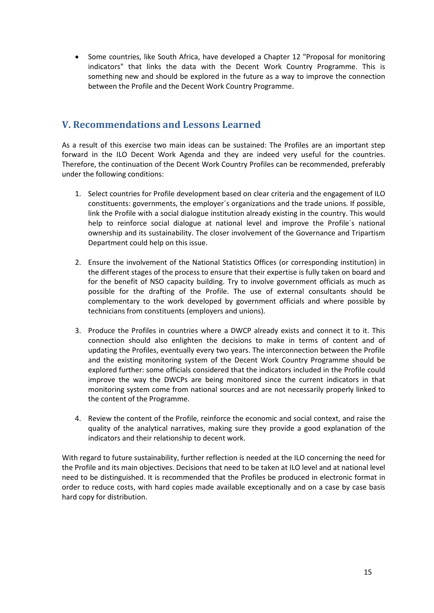• Some countries, like South Africa, have developed a Chapter 12 "Proposal for monitoring indicators" that links the data with the Decent Work Country Programme. This is something new and should be explored in the future as a way to improve the connection between the Profile and the Decent Work Country Programme.

# <span id="page-21-0"></span>**V. Recommendations and Lessons Learned**

As a result of this exercise two main ideas can be sustained: The Profiles are an important step forward in the ILO Decent Work Agenda and they are indeed very useful for the countries. Therefore, the continuation of the Decent Work Country Profiles can be recommended, preferably under the following conditions:

- 1. Select countries for Profile development based on clear criteria and the engagement of ILO constituents: governments, the employer´s organizations and the trade unions. If possible, link the Profile with a social dialogue institution already existing in the country. This would help to reinforce social dialogue at national level and improve the Profile´s national ownership and its sustainability. The closer involvement of the Governance and Tripartism Department could help on this issue.
- 2. Ensure the involvement of the National Statistics Offices (or corresponding institution) in the different stages of the process to ensure that their expertise is fully taken on board and for the benefit of NSO capacity building. Try to involve government officials as much as possible for the drafting of the Profile. The use of external consultants should be complementary to the work developed by government officials and where possible by technicians from constituents (employers and unions).
- 3. Produce the Profiles in countries where a DWCP already exists and connect it to it. This connection should also enlighten the decisions to make in terms of content and of updating the Profiles, eventually every two years. The interconnection between the Profile and the existing monitoring system of the Decent Work Country Programme should be explored further: some officials considered that the indicators included in the Profile could improve the way the DWCPs are being monitored since the current indicators in that monitoring system come from national sources and are not necessarily properly linked to the content of the Programme.
- 4. Review the content of the Profile, reinforce the economic and social context, and raise the quality of the analytical narratives, making sure they provide a good explanation of the indicators and their relationship to decent work.

With regard to future sustainability, further reflection is needed at the ILO concerning the need for the Profile and its main objectives. Decisions that need to be taken at ILO level and at national level need to be distinguished. It is recommended that the Profiles be produced in electronic format in order to reduce costs, with hard copies made available exceptionally and on a case by case basis hard copy for distribution.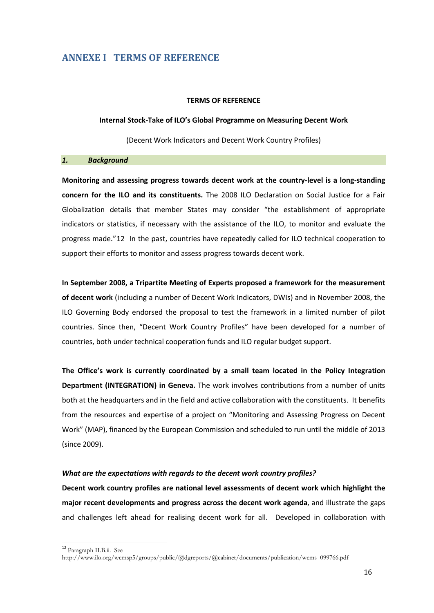### <span id="page-22-0"></span>**ANNEXE I TERMS OF REFERENCE**

#### **TERMS OF REFERENCE**

#### **Internal Stock-Take of ILO's Global Programme on Measuring Decent Work**

(Decent Work Indicators and Decent Work Country Profiles)

#### *1. Background*

**Monitoring and assessing progress towards decent work at the country-level is a long-standing concern for the ILO and its constituents.** The 2008 ILO Declaration on Social Justice for a Fair Globalization details that member States may consider "the establishment of appropriate indicators or statistics, if necessary with the assistance of the ILO, to monitor and evaluate the progress made."[12](#page-22-1) In the past, countries have repeatedly called for ILO technical cooperation to support their efforts to monitor and assess progress towards decent work.

**In September 2008, a Tripartite Meeting of Experts proposed a framework for the measurement of decent work** (including a number of Decent Work Indicators, DWIs) and in November 2008, the ILO Governing Body endorsed the proposal to test the framework in a limited number of pilot countries. Since then, "Decent Work Country Profiles" have been developed for a number of countries, both under technical cooperation funds and ILO regular budget support.

**The Office's work is currently coordinated by a small team located in the Policy Integration Department (INTEGRATION) in Geneva.** The work involves contributions from a number of units both at the headquarters and in the field and active collaboration with the constituents. It benefits from the resources and expertise of a project on "Monitoring and Assessing Progress on Decent Work" (MAP), financed by the European Commission and scheduled to run until the middle of 2013 (since 2009).

### *What are the expectations with regards to the decent work country profiles?*

**Decent work country profiles are national level assessments of decent work which highlight the major recent developments and progress across the decent work agenda**, and illustrate the gaps and challenges left ahead for realising decent work for all. Developed in collaboration with

<span id="page-22-1"></span> <sup>12</sup> Paragraph II.B.ii. See

http://www.ilo.org/wcmsp5/groups/public/@dgreports/@cabinet/documents/publication/wcms\_099766.pdf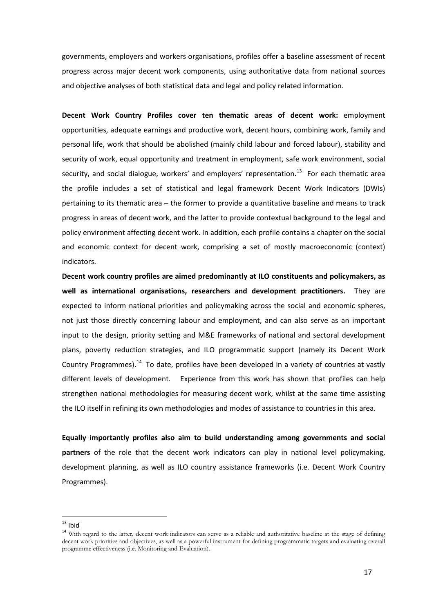governments, employers and workers organisations, profiles offer a baseline assessment of recent progress across major decent work components, using authoritative data from national sources and objective analyses of both statistical data and legal and policy related information.

**Decent Work Country Profiles cover ten thematic areas of decent work:** employment opportunities, adequate earnings and productive work, decent hours, combining work, family and personal life, work that should be abolished (mainly child labour and forced labour), stability and security of work, equal opportunity and treatment in employment, safe work environment, social security, and social dialogue, workers' and employers' representation.<sup>13</sup> For each thematic area the profile includes a set of statistical and legal framework Decent Work Indicators (DWIs) pertaining to its thematic area – the former to provide a quantitative baseline and means to track progress in areas of decent work, and the latter to provide contextual background to the legal and policy environment affecting decent work. In addition, each profile contains a chapter on the social and economic context for decent work, comprising a set of mostly macroeconomic (context) indicators.

**Decent work country profiles are aimed predominantly at ILO constituents and policymakers, as well as international organisations, researchers and development practitioners.** They are expected to inform national priorities and policymaking across the social and economic spheres, not just those directly concerning labour and employment, and can also serve as an important input to the design, priority setting and M&E frameworks of national and sectoral development plans, poverty reduction strategies, and ILO programmatic support (namely its Decent Work Country Programmes). $<sup>14</sup>$  $<sup>14</sup>$  $<sup>14</sup>$  To date, profiles have been developed in a variety of countries at vastly</sup> different levels of development. Experience from this work has shown that profiles can help strengthen national methodologies for measuring decent work, whilst at the same time assisting the ILO itself in refining its own methodologies and modes of assistance to countries in this area.

**Equally importantly profiles also aim to build understanding among governments and social partners** of the role that the decent work indicators can play in national level policymaking, development planning, as well as ILO country assistance frameworks (i.e. Decent Work Country Programmes).

<span id="page-23-1"></span><span id="page-23-0"></span><sup>&</sup>lt;sup>13</sup> Ibid<br><sup>14</sup> With regard to the latter, decent work indicators can serve as a reliable and authoritative baseline at the stage of defining decent work priorities and objectives, as well as a powerful instrument for defining programmatic targets and evaluating overall programme effectiveness (i.e. Monitoring and Evaluation).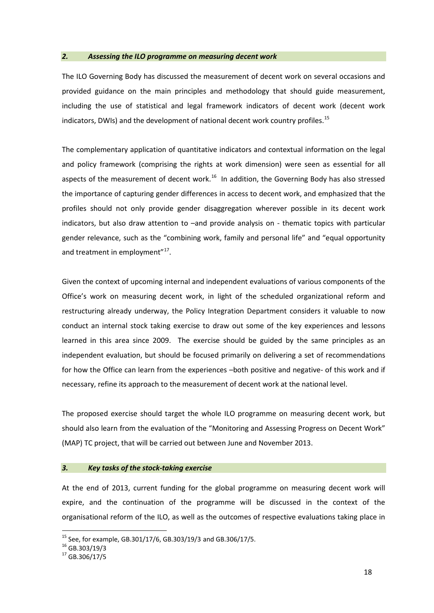#### *2. Assessing the ILO programme on measuring decent work*

The ILO Governing Body has discussed the measurement of decent work on several occasions and provided guidance on the main principles and methodology that should guide measurement, including the use of statistical and legal framework indicators of decent work (decent work indicators, DWIs) and the development of national decent work country profiles.<sup>15</sup>

The complementary application of quantitative indicators and contextual information on the legal and policy framework (comprising the rights at work dimension) were seen as essential for all aspects of the measurement of decent work. $16$  In addition, the Governing Body has also stressed the importance of capturing gender differences in access to decent work, and emphasized that the profiles should not only provide gender disaggregation wherever possible in its decent work indicators, but also draw attention to –and provide analysis on - thematic topics with particular gender relevance, such as the "combining work, family and personal life" and "equal opportunity and treatment in employment"<sup>[17](#page-24-2)</sup>.

Given the context of upcoming internal and independent evaluations of various components of the Office's work on measuring decent work, in light of the scheduled organizational reform and restructuring already underway, the Policy Integration Department considers it valuable to now conduct an internal stock taking exercise to draw out some of the key experiences and lessons learned in this area since 2009. The exercise should be guided by the same principles as an independent evaluation, but should be focused primarily on delivering a set of recommendations for how the Office can learn from the experiences –both positive and negative- of this work and if necessary, refine its approach to the measurement of decent work at the national level.

The proposed exercise should target the whole ILO programme on measuring decent work, but should also learn from the evaluation of the "Monitoring and Assessing Progress on Decent Work" (MAP) TC project, that will be carried out between June and November 2013.

#### *3. Key tasks of the stock-taking exercise*

At the end of 2013, current funding for the global programme on measuring decent work will expire, and the continuation of the programme will be discussed in the context of the organisational reform of the ILO, as well as the outcomes of respective evaluations taking place in

<span id="page-24-1"></span><span id="page-24-0"></span><sup>&</sup>lt;sup>15</sup> See, for example, GB.301/17/6, GB.303/19/3 and GB.306/17/5.<br><sup>16</sup> GB.303/19/3 <sup>17</sup> GB.306/17/5

<span id="page-24-2"></span>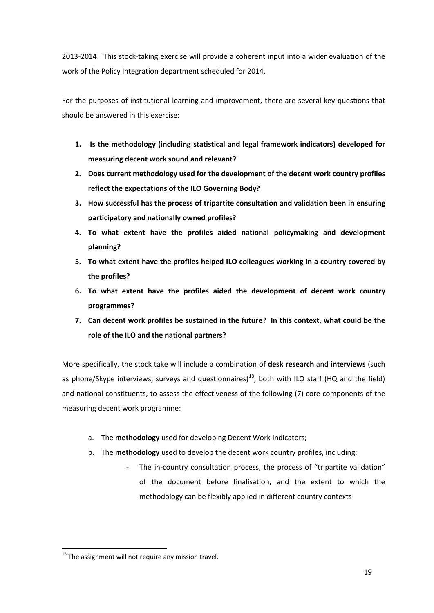2013-2014. This stock-taking exercise will provide a coherent input into a wider evaluation of the work of the Policy Integration department scheduled for 2014.

For the purposes of institutional learning and improvement, there are several key questions that should be answered in this exercise:

- **1. Is the methodology (including statistical and legal framework indicators) developed for measuring decent work sound and relevant?**
- **2. Does current methodology used for the development of the decent work country profiles reflect the expectations of the ILO Governing Body?**
- **3. How successful has the process of tripartite consultation and validation been in ensuring participatory and nationally owned profiles?**
- **4. To what extent have the profiles aided national policymaking and development planning?**
- **5. To what extent have the profiles helped ILO colleagues working in a country covered by the profiles?**
- **6. To what extent have the profiles aided the development of decent work country programmes?**
- **7. Can decent work profiles be sustained in the future? In this context, what could be the role of the ILO and the national partners?**

More specifically, the stock take will include a combination of **desk research** and **interviews** (such as phone/Skype interviews, surveys and questionnaires)<sup>18</sup>, both with ILO staff (HQ and the field) and national constituents, to assess the effectiveness of the following (7) core components of the measuring decent work programme:

- a. The **methodology** used for developing Decent Work Indicators;
- b. The **methodology** used to develop the decent work country profiles, including:
	- The in-country consultation process, the process of "tripartite validation" of the document before finalisation, and the extent to which the methodology can be flexibly applied in different country contexts

<span id="page-25-0"></span><sup>&</sup>lt;sup>18</sup> The assignment will not require any mission travel.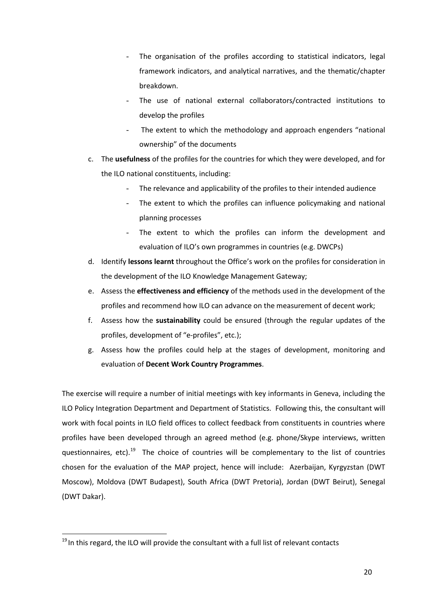- The organisation of the profiles according to statistical indicators, legal framework indicators, and analytical narratives, and the thematic/chapter breakdown.
- The use of national external collaborators/contracted institutions to develop the profiles
- The extent to which the methodology and approach engenders "national ownership" of the documents
- c. The **usefulness** of the profiles for the countries for which they were developed, and for the ILO national constituents, including:
	- The relevance and applicability of the profiles to their intended audience
	- The extent to which the profiles can influence policymaking and national planning processes
	- The extent to which the profiles can inform the development and evaluation of ILO's own programmes in countries (e.g. DWCPs)
- d. Identify **lessons learnt** throughout the Office's work on the profiles for consideration in the development of the ILO Knowledge Management Gateway;
- e. Assess the **effectiveness and efficiency** of the methods used in the development of the profiles and recommend how ILO can advance on the measurement of decent work;
- f. Assess how the **sustainability** could be ensured (through the regular updates of the profiles, development of "e-profiles", etc.);
- g. Assess how the profiles could help at the stages of development, monitoring and evaluation of **Decent Work Country Programmes**.

The exercise will require a number of initial meetings with key informants in Geneva, including the ILO Policy Integration Department and Department of Statistics. Following this, the consultant will work with focal points in ILO field offices to collect feedback from constituents in countries where profiles have been developed through an agreed method (e.g. phone/Skype interviews, written questionnaires, etc).<sup>[19](#page-26-0)</sup> The choice of countries will be complementary to the list of countries chosen for the evaluation of the MAP project, hence will include: Azerbaijan, Kyrgyzstan (DWT Moscow), Moldova (DWT Budapest), South Africa (DWT Pretoria), Jordan (DWT Beirut), Senegal (DWT Dakar).

<span id="page-26-0"></span> $19$  In this regard, the ILO will provide the consultant with a full list of relevant contacts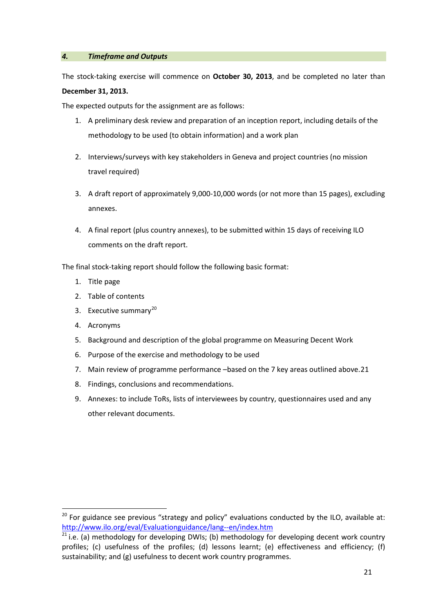### *4. Timeframe and Outputs*

The stock-taking exercise will commence on **October 30, 2013**, and be completed no later than

### **December 31, 2013.**

The expected outputs for the assignment are as follows:

- 1. A preliminary desk review and preparation of an inception report, including details of the methodology to be used (to obtain information) and a work plan
- 2. Interviews/surveys with key stakeholders in Geneva and project countries (no mission travel required)
- 3. A draft report of approximately 9,000-10,000 words (or not more than 15 pages), excluding annexes.
- 4. A final report (plus country annexes), to be submitted within 15 days of receiving ILO comments on the draft report.

The final stock-taking report should follow the following basic format:

- 1. Title page
- 2. Table of contents
- 3. Executive summary $^{20}$  $^{20}$  $^{20}$
- 4. Acronyms
- 5. Background and description of the global programme on Measuring Decent Work
- 6. Purpose of the exercise and methodology to be used
- 7. Main review of programme performance –based on the 7 key areas outlined above.[21](#page-27-1)
- 8. Findings, conclusions and recommendations.
- 9. Annexes: to include ToRs, lists of interviewees by country, questionnaires used and any other relevant documents.

<span id="page-27-0"></span> $20$  For guidance see previous "strategy and policy" evaluations conducted by the ILO, available at: <http://www.ilo.org/eval/Evaluationguidance/lang--en/index.htm>

<span id="page-27-1"></span> $21$  i.e. (a) methodology for developing DWIs; (b) methodology for developing decent work country profiles; (c) usefulness of the profiles; (d) lessons learnt; (e) effectiveness and efficiency; (f) sustainability; and (g) usefulness to decent work country programmes.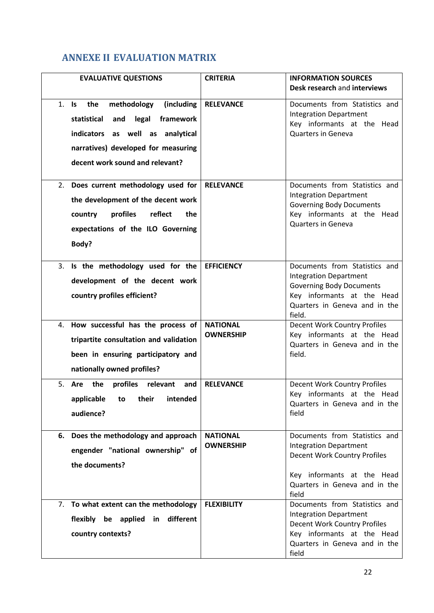# <span id="page-28-0"></span>**ANNEXE II EVALUATION MATRIX**

| <b>EVALUATIVE QUESTIONS</b>                                                                                                                                                                      | <b>CRITERIA</b>                     | <b>INFORMATION SOURCES</b><br>Desk research and interviews                                                                                                                 |
|--------------------------------------------------------------------------------------------------------------------------------------------------------------------------------------------------|-------------------------------------|----------------------------------------------------------------------------------------------------------------------------------------------------------------------------|
| methodology<br>(including<br>1. Is the<br>legal<br>statistical<br>and<br>framework<br>indicators as well as analytical<br>narratives) developed for measuring<br>decent work sound and relevant? | <b>RELEVANCE</b>                    | Documents from Statistics and<br><b>Integration Department</b><br>Key informants at the Head<br><b>Quarters in Geneva</b>                                                  |
| Does current methodology used for<br>2.<br>the development of the decent work<br>profiles<br>reflect<br>the<br>country<br>expectations of the ILO Governing<br>Body?                             | <b>RELEVANCE</b>                    | Documents from Statistics and<br><b>Integration Department</b><br><b>Governing Body Documents</b><br>Key informants at the Head<br><b>Quarters in Geneva</b>               |
| 3. Is the methodology used for the<br>development of the decent work<br>country profiles efficient?                                                                                              | <b>EFFICIENCY</b>                   | Documents from Statistics and<br><b>Integration Department</b><br><b>Governing Body Documents</b><br>Key informants at the Head<br>Quarters in Geneva and in the<br>field. |
| 4. How successful has the process of<br>tripartite consultation and validation<br>been in ensuring participatory and<br>nationally owned profiles?                                               | <b>NATIONAL</b><br><b>OWNERSHIP</b> | Decent Work Country Profiles<br>Key informants at the Head<br>Quarters in Geneva and in the<br>field.                                                                      |
| 5. Are<br>the<br>profiles relevant<br>and<br>applicable to their intended<br>audience?                                                                                                           | <b>RELEVANCE</b>                    | Decent Work Country Profiles<br>Key informants at the Head<br>Quarters in Geneva and in the<br>field                                                                       |
| 6. Does the methodology and approach<br>engender "national ownership" of<br>the documents?                                                                                                       | <b>NATIONAL</b><br><b>OWNERSHIP</b> | Documents from Statistics and<br><b>Integration Department</b><br>Decent Work Country Profiles<br>Key informants at the Head<br>Quarters in Geneva and in the<br>field     |
| 7. To what extent can the methodology<br>flexibly be applied in different<br>country contexts?                                                                                                   | <b>FLEXIBILITY</b>                  | Documents from Statistics and<br><b>Integration Department</b><br>Decent Work Country Profiles<br>Key informants at the Head<br>Quarters in Geneva and in the<br>field     |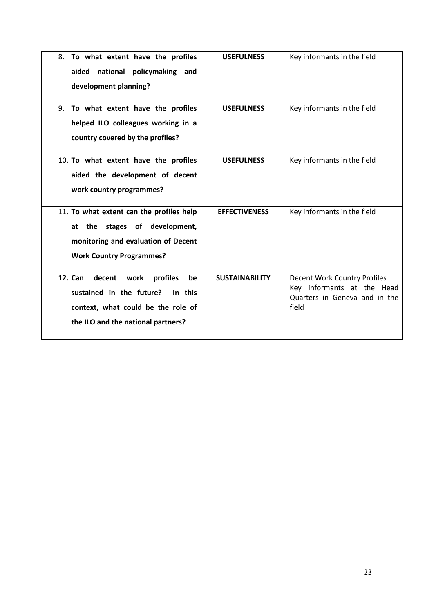| To what extent have the profiles<br>8.<br>national<br>policymaking and<br>aided<br>development planning?                                                              | <b>USEFULNESS</b>     | Key informants in the field                                                                          |
|-----------------------------------------------------------------------------------------------------------------------------------------------------------------------|-----------------------|------------------------------------------------------------------------------------------------------|
| To what extent have the profiles<br>9.<br>helped ILO colleagues working in a<br>country covered by the profiles?                                                      | <b>USEFULNESS</b>     | Key informants in the field                                                                          |
| 10. To what extent have the profiles<br>aided the development of decent<br>work country programmes?                                                                   | <b>USEFULNESS</b>     | Key informants in the field                                                                          |
| 11. To what extent can the profiles help<br>the stages of development,<br>at<br>monitoring and evaluation of Decent<br><b>Work Country Programmes?</b>                | <b>EFFECTIVENESS</b>  | Key informants in the field                                                                          |
| <b>12. Can</b><br>profiles<br>decent<br>work<br>be<br>sustained in the future?<br>In this<br>context, what could be the role of<br>the ILO and the national partners? | <b>SUSTAINABILITY</b> | Decent Work Country Profiles<br>Key informants at the Head<br>Quarters in Geneva and in the<br>field |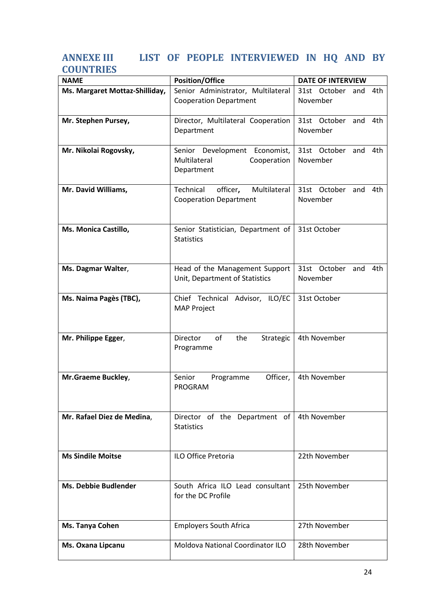# <span id="page-30-0"></span>**ANNEXE III LIST OF PEOPLE INTERVIEWED IN HQ AND BY COUNTRIES**

| <b>NAME</b>                    | <b>Position/Office</b>                | <b>DATE OF INTERVIEW</b>    |  |
|--------------------------------|---------------------------------------|-----------------------------|--|
| Ms. Margaret Mottaz-Shilliday, | Senior Administrator, Multilateral    | 31st October<br>4th<br>and  |  |
|                                | <b>Cooperation Department</b>         | November                    |  |
|                                |                                       |                             |  |
| Mr. Stephen Pursey,            | Director, Multilateral Cooperation    | 31st October and<br>4th     |  |
|                                | Department                            | November                    |  |
|                                |                                       |                             |  |
| Mr. Nikolai Rogovsky,          | Senior Development Economist,         | 31st October<br>4th<br>and  |  |
|                                | Cooperation<br>Multilateral           | November                    |  |
|                                | Department                            |                             |  |
|                                |                                       |                             |  |
| Mr. David Williams,            | Multilateral<br>Technical<br>officer, | 31st October<br>and<br>4th. |  |
|                                | <b>Cooperation Department</b>         | November                    |  |
|                                |                                       |                             |  |
|                                |                                       |                             |  |
| Ms. Monica Castillo,           | Senior Statistician, Department of    | 31st October                |  |
|                                | <b>Statistics</b>                     |                             |  |
|                                |                                       |                             |  |
|                                |                                       |                             |  |
| Ms. Dagmar Walter,             | Head of the Management Support        | 31st October<br>and<br>4th  |  |
|                                | Unit, Department of Statistics        | November                    |  |
|                                |                                       |                             |  |
| Ms. Naima Pagès (TBC),         | Chief Technical Advisor, ILO/EC       | 31st October                |  |
|                                | <b>MAP Project</b>                    |                             |  |
|                                |                                       |                             |  |
|                                |                                       |                             |  |
| Mr. Philippe Egger,            | Director<br>of<br>the<br>Strategic    | 4th November                |  |
|                                | Programme                             |                             |  |
|                                |                                       |                             |  |
|                                | Senior<br>Officer,                    |                             |  |
| Mr.Graeme Buckley,             | Programme<br>PROGRAM                  | 4th November                |  |
|                                |                                       |                             |  |
|                                |                                       |                             |  |
| Mr. Rafael Diez de Medina,     | Director of the Department of         | 4th November                |  |
|                                | <b>Statistics</b>                     |                             |  |
|                                |                                       |                             |  |
|                                |                                       |                             |  |
| <b>Ms Sindile Moitse</b>       | <b>ILO Office Pretoria</b>            | 22th November               |  |
|                                |                                       |                             |  |
|                                |                                       |                             |  |
| <b>Ms. Debbie Budlender</b>    | South Africa ILO Lead consultant      | 25th November               |  |
|                                | for the DC Profile                    |                             |  |
|                                |                                       |                             |  |
|                                |                                       |                             |  |
| Ms. Tanya Cohen                | <b>Employers South Africa</b>         | 27th November               |  |
|                                |                                       |                             |  |
| Ms. Oxana Lipcanu              | Moldova National Coordinator ILO      | 28th November               |  |
|                                |                                       |                             |  |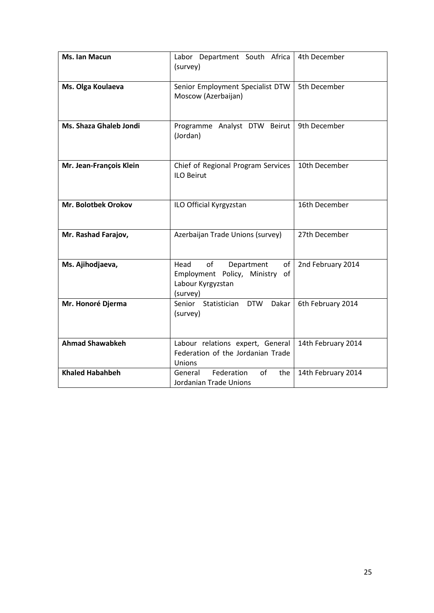| Ms. Ian Macun           | Labor Department South Africa<br>(survey)                                                         | 4th December       |
|-------------------------|---------------------------------------------------------------------------------------------------|--------------------|
| Ms. Olga Koulaeva       | Senior Employment Specialist DTW<br>Moscow (Azerbaijan)                                           | 5th December       |
| Ms. Shaza Ghaleb Jondi  | Programme Analyst DTW Beirut<br>(Jordan)                                                          | 9th December       |
| Mr. Jean-François Klein | Chief of Regional Program Services<br><b>ILO Beirut</b>                                           | 10th December      |
| Mr. Bolotbek Orokov     | ILO Official Kyrgyzstan                                                                           | 16th December      |
| Mr. Rashad Farajov,     | Azerbaijan Trade Unions (survey)                                                                  | 27th December      |
| Ms. Ajihodjaeva,        | of<br>Department<br>Head<br>of<br>Employment Policy, Ministry of<br>Labour Kyrgyzstan<br>(survey) | 2nd February 2014  |
| Mr. Honoré Djerma       | Senior<br><b>DTW</b><br>Statistician<br>Dakar<br>(survey)                                         | 6th February 2014  |
| <b>Ahmad Shawabkeh</b>  | Labour relations expert, General<br>Federation of the Jordanian Trade<br>Unions                   | 14th February 2014 |
| <b>Khaled Habahbeh</b>  | Federation<br>of<br>General<br>the<br>Jordanian Trade Unions                                      | 14th February 2014 |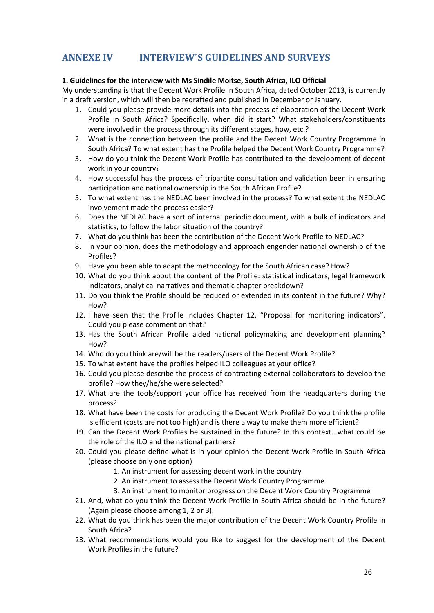# <span id="page-32-0"></span>**ANNEXE IV INTERVIEW´S GUIDELINES AND SURVEYS**

### **1. Guidelines for the interview with Ms Sindile Moitse, South Africa, ILO Official**

My understanding is that the Decent Work Profile in South Africa, dated October 2013, is currently in a draft version, which will then be redrafted and published in December or January.

- 1. Could you please provide more details into the process of elaboration of the Decent Work Profile in South Africa? Specifically, when did it start? What stakeholders/constituents were involved in the process through its different stages, how, etc.?
- 2. What is the connection between the profile and the Decent Work Country Programme in South Africa? To what extent has the Profile helped the Decent Work Country Programme?
- 3. How do you think the Decent Work Profile has contributed to the development of decent work in your country?
- 4. How successful has the process of tripartite consultation and validation been in ensuring participation and national ownership in the South African Profile?
- 5. To what extent has the NEDLAC been involved in the process? To what extent the NEDLAC involvement made the process easier?
- 6. Does the NEDLAC have a sort of internal periodic document, with a bulk of indicators and statistics, to follow the labor situation of the country?
- 7. What do you think has been the contribution of the Decent Work Profile to NEDLAC?
- 8. In your opinion, does the methodology and approach engender national ownership of the Profiles?
- 9. Have you been able to adapt the methodology for the South African case? How?
- 10. What do you think about the content of the Profile: statistical indicators, legal framework indicators, analytical narratives and thematic chapter breakdown?
- 11. Do you think the Profile should be reduced or extended in its content in the future? Why? How?
- 12. I have seen that the Profile includes Chapter 12. "Proposal for monitoring indicators". Could you please comment on that?
- 13. Has the South African Profile aided national policymaking and development planning? How?
- 14. Who do you think are/will be the readers/users of the Decent Work Profile?
- 15. To what extent have the profiles helped ILO colleagues at your office?
- 16. Could you please describe the process of contracting external collaborators to develop the profile? How they/he/she were selected?
- 17. What are the tools/support your office has received from the headquarters during the process?
- 18. What have been the costs for producing the Decent Work Profile? Do you think the profile is efficient (costs are not too high) and is there a way to make them more efficient?
- 19. Can the Decent Work Profiles be sustained in the future? In this context...what could be the role of the ILO and the national partners?
- 20. Could you please define what is in your opinion the Decent Work Profile in South Africa (please choose only one option)
	- 1. An instrument for assessing decent work in the country
	- 2. An instrument to assess the Decent Work Country Programme
	- 3. An instrument to monitor progress on the Decent Work Country Programme
- 21. And, what do you think the Decent Work Profile in South Africa should be in the future? (Again please choose among 1, 2 or 3).
- 22. What do you think has been the major contribution of the Decent Work Country Profile in South Africa?
- 23. What recommendations would you like to suggest for the development of the Decent Work Profiles in the future?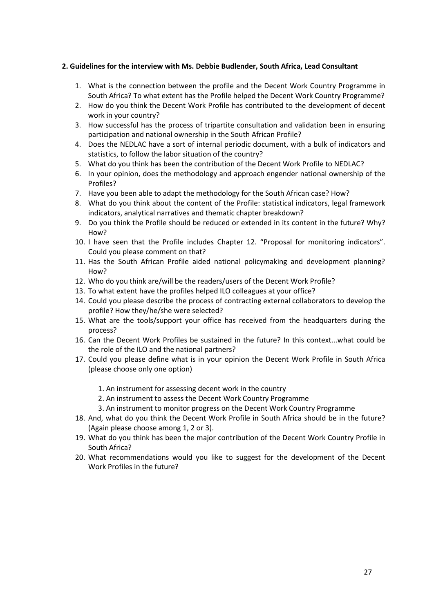### **2. Guidelines for the interview with Ms. Debbie Budlender, South Africa, Lead Consultant**

- 1. What is the connection between the profile and the Decent Work Country Programme in South Africa? To what extent has the Profile helped the Decent Work Country Programme?
- 2. How do you think the Decent Work Profile has contributed to the development of decent work in your country?
- 3. How successful has the process of tripartite consultation and validation been in ensuring participation and national ownership in the South African Profile?
- 4. Does the NEDLAC have a sort of internal periodic document, with a bulk of indicators and statistics, to follow the labor situation of the country?
- 5. What do you think has been the contribution of the Decent Work Profile to NEDLAC?
- 6. In your opinion, does the methodology and approach engender national ownership of the Profiles?
- 7. Have you been able to adapt the methodology for the South African case? How?
- 8. What do you think about the content of the Profile: statistical indicators, legal framework indicators, analytical narratives and thematic chapter breakdown?
- 9. Do you think the Profile should be reduced or extended in its content in the future? Why? How?
- 10. I have seen that the Profile includes Chapter 12. "Proposal for monitoring indicators". Could you please comment on that?
- 11. Has the South African Profile aided national policymaking and development planning? How?
- 12. Who do you think are/will be the readers/users of the Decent Work Profile?
- 13. To what extent have the profiles helped ILO colleagues at your office?
- 14. Could you please describe the process of contracting external collaborators to develop the profile? How they/he/she were selected?
- 15. What are the tools/support your office has received from the headquarters during the process?
- 16. Can the Decent Work Profiles be sustained in the future? In this context...what could be the role of the ILO and the national partners?
- 17. Could you please define what is in your opinion the Decent Work Profile in South Africa (please choose only one option)
	- 1. An instrument for assessing decent work in the country
	- 2. An instrument to assess the Decent Work Country Programme
	- 3. An instrument to monitor progress on the Decent Work Country Programme
- 18. And, what do you think the Decent Work Profile in South Africa should be in the future? (Again please choose among 1, 2 or 3).
- 19. What do you think has been the major contribution of the Decent Work Country Profile in South Africa?
- 20. What recommendations would you like to suggest for the development of the Decent Work Profiles in the future?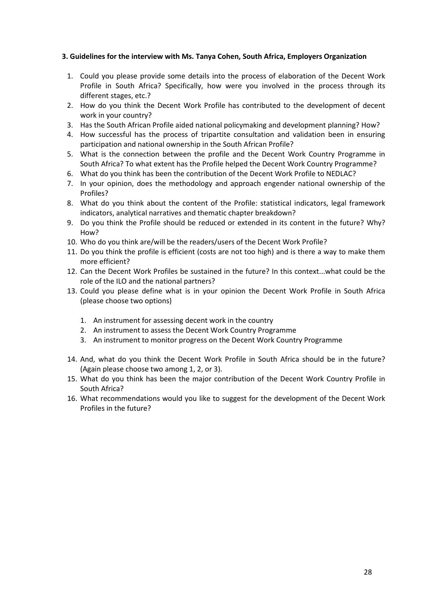### **3. Guidelines for the interview with Ms. Tanya Cohen, South Africa, Employers Organization**

- 1. Could you please provide some details into the process of elaboration of the Decent Work Profile in South Africa? Specifically, how were you involved in the process through its different stages, etc.?
- 2. How do you think the Decent Work Profile has contributed to the development of decent work in your country?
- 3. Has the South African Profile aided national policymaking and development planning? How?
- 4. How successful has the process of tripartite consultation and validation been in ensuring participation and national ownership in the South African Profile?
- 5. What is the connection between the profile and the Decent Work Country Programme in South Africa? To what extent has the Profile helped the Decent Work Country Programme?
- 6. What do you think has been the contribution of the Decent Work Profile to NEDLAC?
- 7. In your opinion, does the methodology and approach engender national ownership of the Profiles?
- 8. What do you think about the content of the Profile: statistical indicators, legal framework indicators, analytical narratives and thematic chapter breakdown?
- 9. Do you think the Profile should be reduced or extended in its content in the future? Why? How?
- 10. Who do you think are/will be the readers/users of the Decent Work Profile?
- 11. Do you think the profile is efficient (costs are not too high) and is there a way to make them more efficient?
- 12. Can the Decent Work Profiles be sustained in the future? In this context...what could be the role of the ILO and the national partners?
- 13. Could you please define what is in your opinion the Decent Work Profile in South Africa (please choose two options)
	- 1. An instrument for assessing decent work in the country
	- 2. An instrument to assess the Decent Work Country Programme
	- 3. An instrument to monitor progress on the Decent Work Country Programme
- 14. And, what do you think the Decent Work Profile in South Africa should be in the future? (Again please choose two among 1, 2, or 3).
- 15. What do you think has been the major contribution of the Decent Work Country Profile in South Africa?
- 16. What recommendations would you like to suggest for the development of the Decent Work Profiles in the future?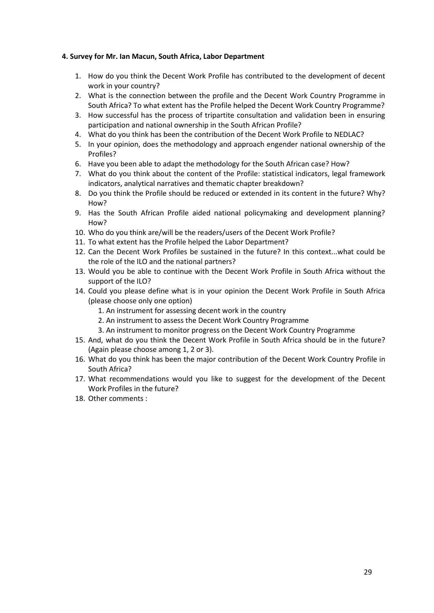### **4. Survey for Mr. Ian Macun, South Africa, Labor Department**

- 1. How do you think the Decent Work Profile has contributed to the development of decent work in your country?
- 2. What is the connection between the profile and the Decent Work Country Programme in South Africa? To what extent has the Profile helped the Decent Work Country Programme?
- 3. How successful has the process of tripartite consultation and validation been in ensuring participation and national ownership in the South African Profile?
- 4. What do you think has been the contribution of the Decent Work Profile to NEDLAC?
- 5. In your opinion, does the methodology and approach engender national ownership of the Profiles?
- 6. Have you been able to adapt the methodology for the South African case? How?
- 7. What do you think about the content of the Profile: statistical indicators, legal framework indicators, analytical narratives and thematic chapter breakdown?
- 8. Do you think the Profile should be reduced or extended in its content in the future? Why? How?
- 9. Has the South African Profile aided national policymaking and development planning? How?
- 10. Who do you think are/will be the readers/users of the Decent Work Profile?
- 11. To what extent has the Profile helped the Labor Department?
- 12. Can the Decent Work Profiles be sustained in the future? In this context...what could be the role of the ILO and the national partners?
- 13. Would you be able to continue with the Decent Work Profile in South Africa without the support of the ILO?
- 14. Could you please define what is in your opinion the Decent Work Profile in South Africa (please choose only one option)
	- 1. An instrument for assessing decent work in the country
	- 2. An instrument to assess the Decent Work Country Programme
	- 3. An instrument to monitor progress on the Decent Work Country Programme
- 15. And, what do you think the Decent Work Profile in South Africa should be in the future? (Again please choose among 1, 2 or 3).
- 16. What do you think has been the major contribution of the Decent Work Country Profile in South Africa?
- 17. What recommendations would you like to suggest for the development of the Decent Work Profiles in the future?
- 18. Other comments :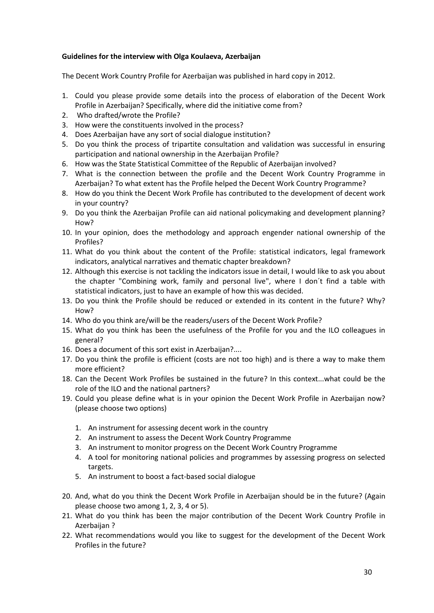### **Guidelines for the interview with Olga Koulaeva, Azerbaijan**

The Decent Work Country Profile for Azerbaijan was published in hard copy in 2012.

- 1. Could you please provide some details into the process of elaboration of the Decent Work Profile in Azerbaijan? Specifically, where did the initiative come from?
- 2. Who drafted/wrote the Profile?
- 3. How were the constituents involved in the process?
- 4. Does Azerbaijan have any sort of social dialogue institution?
- 5. Do you think the process of tripartite consultation and validation was successful in ensuring participation and national ownership in the Azerbaijan Profile?
- 6. How was the State Statistical Committee of the Republic of Azerbaijan involved?
- 7. What is the connection between the profile and the Decent Work Country Programme in Azerbaijan? To what extent has the Profile helped the Decent Work Country Programme?
- 8. How do you think the Decent Work Profile has contributed to the development of decent work in your country?
- 9. Do you think the Azerbaijan Profile can aid national policymaking and development planning? How?
- 10. In your opinion, does the methodology and approach engender national ownership of the Profiles?
- 11. What do you think about the content of the Profile: statistical indicators, legal framework indicators, analytical narratives and thematic chapter breakdown?
- 12. Although this exercise is not tackling the indicators issue in detail, I would like to ask you about the chapter "Combining work, family and personal live", where I don´t find a table with statistical indicators, just to have an example of how this was decided.
- 13. Do you think the Profile should be reduced or extended in its content in the future? Why? How?
- 14. Who do you think are/will be the readers/users of the Decent Work Profile?
- 15. What do you think has been the usefulness of the Profile for you and the ILO colleagues in general?
- 16. Does a document of this sort exist in Azerbaijan?....
- 17. Do you think the profile is efficient (costs are not too high) and is there a way to make them more efficient?
- 18. Can the Decent Work Profiles be sustained in the future? In this context...what could be the role of the ILO and the national partners?
- 19. Could you please define what is in your opinion the Decent Work Profile in Azerbaijan now? (please choose two options)
	- 1. An instrument for assessing decent work in the country
	- 2. An instrument to assess the Decent Work Country Programme
	- 3. An instrument to monitor progress on the Decent Work Country Programme
	- 4. A tool for monitoring national policies and programmes by assessing progress on selected targets.
	- 5. An instrument to boost a fact-based social dialogue
- 20. And, what do you think the Decent Work Profile in Azerbaijan should be in the future? (Again please choose two among 1, 2, 3, 4 or 5).
- 21. What do you think has been the major contribution of the Decent Work Country Profile in Azerbaijan ?
- 22. What recommendations would you like to suggest for the development of the Decent Work Profiles in the future?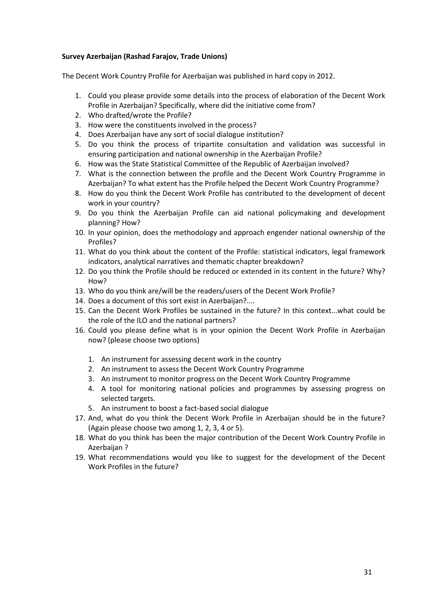### **Survey Azerbaijan (Rashad Farajov, Trade Unions)**

The Decent Work Country Profile for Azerbaijan was published in hard copy in 2012.

- 1. Could you please provide some details into the process of elaboration of the Decent Work Profile in Azerbaijan? Specifically, where did the initiative come from?
- 2. Who drafted/wrote the Profile?
- 3. How were the constituents involved in the process?
- 4. Does Azerbaijan have any sort of social dialogue institution?
- 5. Do you think the process of tripartite consultation and validation was successful in ensuring participation and national ownership in the Azerbaijan Profile?
- 6. How was the State Statistical Committee of the Republic of Azerbaijan involved?
- 7. What is the connection between the profile and the Decent Work Country Programme in Azerbaijan? To what extent has the Profile helped the Decent Work Country Programme?
- 8. How do you think the Decent Work Profile has contributed to the development of decent work in your country?
- 9. Do you think the Azerbaijan Profile can aid national policymaking and development planning? How?
- 10. In your opinion, does the methodology and approach engender national ownership of the Profiles?
- 11. What do you think about the content of the Profile: statistical indicators, legal framework indicators, analytical narratives and thematic chapter breakdown?
- 12. Do you think the Profile should be reduced or extended in its content in the future? Why? How?
- 13. Who do you think are/will be the readers/users of the Decent Work Profile?
- 14. Does a document of this sort exist in Azerbaijan?....
- 15. Can the Decent Work Profiles be sustained in the future? In this context...what could be the role of the ILO and the national partners?
- 16. Could you please define what is in your opinion the Decent Work Profile in Azerbaijan now? (please choose two options)
	- 1. An instrument for assessing decent work in the country
	- 2. An instrument to assess the Decent Work Country Programme
	- 3. An instrument to monitor progress on the Decent Work Country Programme
	- 4. A tool for monitoring national policies and programmes by assessing progress on selected targets.
	- 5. An instrument to boost a fact-based social dialogue
- 17. And, what do you think the Decent Work Profile in Azerbaijan should be in the future? (Again please choose two among 1, 2, 3, 4 or 5).
- 18. What do you think has been the major contribution of the Decent Work Country Profile in Azerbaijan ?
- 19. What recommendations would you like to suggest for the development of the Decent Work Profiles in the future?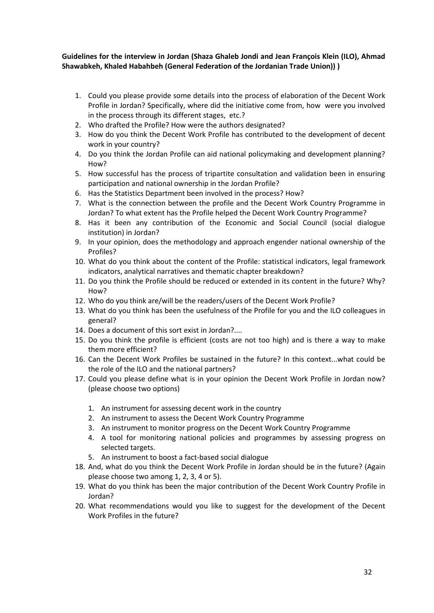### **Guidelines for the interview in Jordan (Shaza Ghaleb Jondi and Jean François Klein (ILO), Ahmad Shawabkeh, Khaled Habahbeh (General Federation of the Jordanian Trade Union)) )**

- 1. Could you please provide some details into the process of elaboration of the Decent Work Profile in Jordan? Specifically, where did the initiative come from, how were you involved in the process through its different stages, etc.?
- 2. Who drafted the Profile? How were the authors designated?
- 3. How do you think the Decent Work Profile has contributed to the development of decent work in your country?
- 4. Do you think the Jordan Profile can aid national policymaking and development planning? How?
- 5. How successful has the process of tripartite consultation and validation been in ensuring participation and national ownership in the Jordan Profile?
- 6. Has the Statistics Department been involved in the process? How?
- 7. What is the connection between the profile and the Decent Work Country Programme in Jordan? To what extent has the Profile helped the Decent Work Country Programme?
- 8. Has it been any contribution of the Economic and Social Council (social dialogue institution) in Jordan?
- 9. In your opinion, does the methodology and approach engender national ownership of the Profiles?
- 10. What do you think about the content of the Profile: statistical indicators, legal framework indicators, analytical narratives and thematic chapter breakdown?
- 11. Do you think the Profile should be reduced or extended in its content in the future? Why? How?
- 12. Who do you think are/will be the readers/users of the Decent Work Profile?
- 13. What do you think has been the usefulness of the Profile for you and the ILO colleagues in general?
- 14. Does a document of this sort exist in Jordan?....
- 15. Do you think the profile is efficient (costs are not too high) and is there a way to make them more efficient?
- 16. Can the Decent Work Profiles be sustained in the future? In this context...what could be the role of the ILO and the national partners?
- 17. Could you please define what is in your opinion the Decent Work Profile in Jordan now? (please choose two options)
	- 1. An instrument for assessing decent work in the country
	- 2. An instrument to assess the Decent Work Country Programme
	- 3. An instrument to monitor progress on the Decent Work Country Programme
	- 4. A tool for monitoring national policies and programmes by assessing progress on selected targets.
	- 5. An instrument to boost a fact-based social dialogue
- 18. And, what do you think the Decent Work Profile in Jordan should be in the future? (Again please choose two among 1, 2, 3, 4 or 5).
- 19. What do you think has been the major contribution of the Decent Work Country Profile in Jordan?
- 20. What recommendations would you like to suggest for the development of the Decent Work Profiles in the future?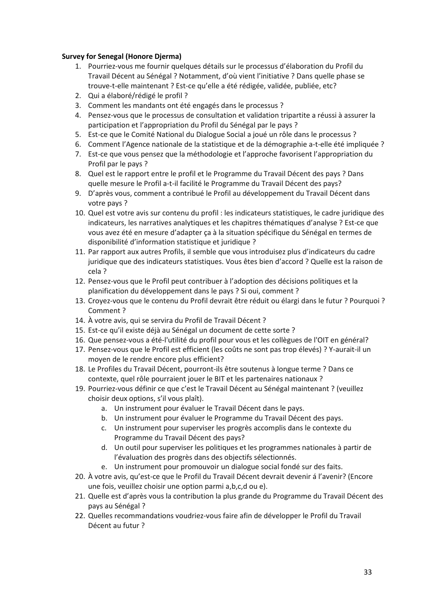### **Survey for Senegal (Honore Djerma)**

- 1. Pourriez-vous me fournir quelques détails sur le processus d'élaboration du Profil du Travail Décent au Sénégal ? Notamment, d'où vient l'initiative ? Dans quelle phase se trouve-t-elle maintenant ? Est-ce qu'elle a été rédigée, validée, publiée, etc?
- 2. Qui a élaboré/rédigé le profil ?
- 3. Comment les mandants ont été engagés dans le processus ?
- 4. Pensez-vous que le processus de consultation et validation tripartite a réussi à assurer la participation et l'appropriation du Profil du Sénégal par le pays ?
- 5. Est-ce que le Comité National du Dialogue Social a joué un rôle dans le processus ?
- 6. Comment l'Agence nationale de la statistique et de la démographie a-t-elle été impliquée ?
- 7. Est-ce que vous pensez que la méthodologie et l'approche favorisent l'appropriation du Profil par le pays ?
- 8. Quel est le rapport entre le profil et le Programme du Travail Décent des pays ? Dans quelle mesure le Profil a-t-il facilité le Programme du Travail Décent des pays?
- 9. D'après vous, comment a contribué le Profil au développement du Travail Décent dans votre pays ?
- 10. Quel est votre avis sur contenu du profil : les indicateurs statistiques, le cadre juridique des indicateurs, les narratives analytiques et les chapitres thématiques d'analyse ? Est-ce que vous avez été en mesure d'adapter ça à la situation spécifique du Sénégal en termes de disponibilité d'information statistique et juridique ?
- 11. Par rapport aux autres Profils, il semble que vous introduisez plus d'indicateurs du cadre juridique que des indicateurs statistiques. Vous êtes bien d'accord ? Quelle est la raison de cela ?
- 12. Pensez-vous que le Profil peut contribuer à l'adoption des décisions politiques et la planification du développement dans le pays ? Si oui, comment ?
- 13. Croyez-vous que le contenu du Profil devrait être réduit ou élargi dans le futur ? Pourquoi ? Comment ?
- 14. À votre avis, qui se servira du Profil de Travail Décent ?
- 15. Est-ce qu'il existe déjà au Sénégal un document de cette sorte ?
- 16. Que pensez-vous a été-l'utilité du profil pour vous et les collègues de l'OIT en général?
- 17. Pensez-vous que le Profil est efficient (les coûts ne sont pas trop élevés) ? Y-aurait-il un moyen de le rendre encore plus efficient?
- 18. Le Profiles du Travail Décent, pourront-ils être soutenus à longue terme ? Dans ce contexte, quel rôle pourraient jouer le BIT et les partenaires nationaux ?
- 19. Pourriez-vous définir ce que c'est le Travail Décent au Sénégal maintenant ? (veuillez choisir deux options, s'il vous plaît).
	- a. Un instrument pour évaluer le Travail Décent dans le pays.
	- b. Un instrument pour évaluer le Programme du Travail Décent des pays.
	- c. Un instrument pour superviser les progrès accomplis dans le contexte du Programme du Travail Décent des pays?
	- d. Un outil pour superviser les politiques et les programmes nationales à partir de l'évaluation des progrès dans des objectifs sélectionnés.
	- e. Un instrument pour promouvoir un dialogue social fondé sur des faits.
- 20. À votre avis, qu'est-ce que le Profil du Travail Décent devrait devenir á l'avenir? (Encore une fois, veuillez choisir une option parmi a,b,c,d ou e).
- 21. Quelle est d'après vous la contribution la plus grande du Programme du Travail Décent des pays au Sénégal ?
- 22. Quelles recommandations voudriez-vous faire afin de développer le Profil du Travail Décent au futur ?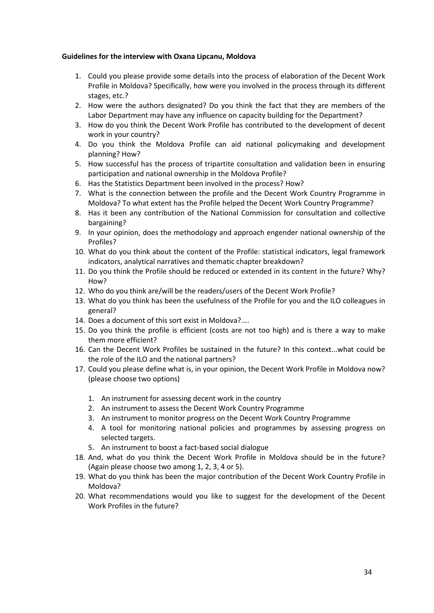### **Guidelines for the interview with Oxana Lipcanu, Moldova**

- 1. Could you please provide some details into the process of elaboration of the Decent Work Profile in Moldova? Specifically, how were you involved in the process through its different stages, etc.?
- 2. How were the authors designated? Do you think the fact that they are members of the Labor Department may have any influence on capacity building for the Department?
- 3. How do you think the Decent Work Profile has contributed to the development of decent work in your country?
- 4. Do you think the Moldova Profile can aid national policymaking and development planning? How?
- 5. How successful has the process of tripartite consultation and validation been in ensuring participation and national ownership in the Moldova Profile?
- 6. Has the Statistics Department been involved in the process? How?
- 7. What is the connection between the profile and the Decent Work Country Programme in Moldova? To what extent has the Profile helped the Decent Work Country Programme?
- 8. Has it been any contribution of the National Commission for consultation and collective bargaining?
- 9. In your opinion, does the methodology and approach engender national ownership of the Profiles?
- 10. What do you think about the content of the Profile: statistical indicators, legal framework indicators, analytical narratives and thematic chapter breakdown?
- 11. Do you think the Profile should be reduced or extended in its content in the future? Why? How?
- 12. Who do you think are/will be the readers/users of the Decent Work Profile?
- 13. What do you think has been the usefulness of the Profile for you and the ILO colleagues in general?
- 14. Does a document of this sort exist in Moldova?....
- 15. Do you think the profile is efficient (costs are not too high) and is there a way to make them more efficient?
- 16. Can the Decent Work Profiles be sustained in the future? In this context...what could be the role of the ILO and the national partners?
- 17. Could you please define what is, in your opinion, the Decent Work Profile in Moldova now? (please choose two options)
	- 1. An instrument for assessing decent work in the country
	- 2. An instrument to assess the Decent Work Country Programme
	- 3. An instrument to monitor progress on the Decent Work Country Programme
	- 4. A tool for monitoring national policies and programmes by assessing progress on selected targets.
	- 5. An instrument to boost a fact-based social dialogue
- 18. And, what do you think the Decent Work Profile in Moldova should be in the future? (Again please choose two among 1, 2, 3, 4 or 5).
- 19. What do you think has been the major contribution of the Decent Work Country Profile in Moldova?
- 20. What recommendations would you like to suggest for the development of the Decent Work Profiles in the future?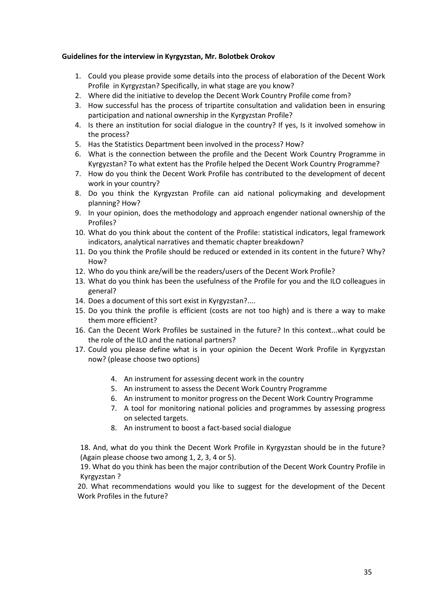### **Guidelines for the interview in Kyrgyzstan, Mr. Bolotbek Orokov**

- 1. Could you please provide some details into the process of elaboration of the Decent Work Profile in Kyrgyzstan? Specifically, in what stage are you know?
- 2. Where did the initiative to develop the Decent Work Country Profile come from?
- 3. How successful has the process of tripartite consultation and validation been in ensuring participation and national ownership in the Kyrgyzstan Profile?
- 4. Is there an institution for social dialogue in the country? If yes, Is it involved somehow in the process?
- 5. Has the Statistics Department been involved in the process? How?
- 6. What is the connection between the profile and the Decent Work Country Programme in Kyrgyzstan? To what extent has the Profile helped the Decent Work Country Programme?
- 7. How do you think the Decent Work Profile has contributed to the development of decent work in your country?
- 8. Do you think the Kyrgyzstan Profile can aid national policymaking and development planning? How?
- 9. In your opinion, does the methodology and approach engender national ownership of the Profiles?
- 10. What do you think about the content of the Profile: statistical indicators, legal framework indicators, analytical narratives and thematic chapter breakdown?
- 11. Do you think the Profile should be reduced or extended in its content in the future? Why? How?
- 12. Who do you think are/will be the readers/users of the Decent Work Profile?
- 13. What do you think has been the usefulness of the Profile for you and the ILO colleagues in general?
- 14. Does a document of this sort exist in Kyrgyzstan?....
- 15. Do you think the profile is efficient (costs are not too high) and is there a way to make them more efficient?
- 16. Can the Decent Work Profiles be sustained in the future? In this context...what could be the role of the ILO and the national partners?
- 17. Could you please define what is in your opinion the Decent Work Profile in Kyrgyzstan now? (please choose two options)
	- 4. An instrument for assessing decent work in the country
	- 5. An instrument to assess the Decent Work Country Programme
	- 6. An instrument to monitor progress on the Decent Work Country Programme
	- 7. A tool for monitoring national policies and programmes by assessing progress on selected targets.
	- 8. An instrument to boost a fact-based social dialogue

18. And, what do you think the Decent Work Profile in Kyrgyzstan should be in the future? (Again please choose two among 1, 2, 3, 4 or 5).

19. What do you think has been the major contribution of the Decent Work Country Profile in Kyrgyzstan ?

20. What recommendations would you like to suggest for the development of the Decent Work Profiles in the future?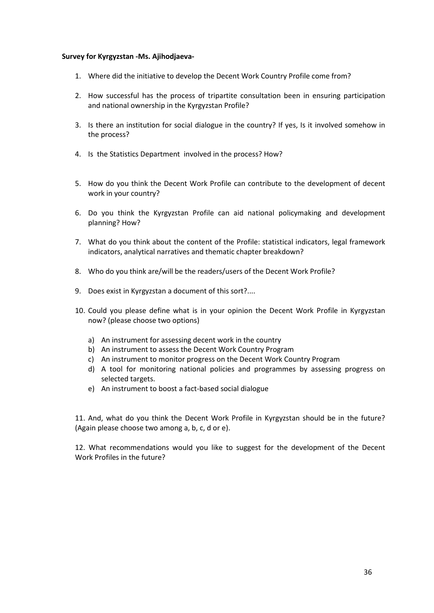#### **Survey for Kyrgyzstan -Ms. Ajihodjaeva-**

- 1. Where did the initiative to develop the Decent Work Country Profile come from?
- 2. How successful has the process of tripartite consultation been in ensuring participation and national ownership in the Kyrgyzstan Profile?
- 3. Is there an institution for social dialogue in the country? If yes, Is it involved somehow in the process?
- 4. Is the Statistics Department involved in the process? How?
- 5. How do you think the Decent Work Profile can contribute to the development of decent work in your country?
- 6. Do you think the Kyrgyzstan Profile can aid national policymaking and development planning? How?
- 7. What do you think about the content of the Profile: statistical indicators, legal framework indicators, analytical narratives and thematic chapter breakdown?
- 8. Who do you think are/will be the readers/users of the Decent Work Profile?
- 9. Does exist in Kyrgyzstan a document of this sort?....
- 10. Could you please define what is in your opinion the Decent Work Profile in Kyrgyzstan now? (please choose two options)
	- a) An instrument for assessing decent work in the country
	- b) An instrument to assess the Decent Work Country Program
	- c) An instrument to monitor progress on the Decent Work Country Program
	- d) A tool for monitoring national policies and programmes by assessing progress on selected targets.
	- e) An instrument to boost a fact-based social dialogue

11. And, what do you think the Decent Work Profile in Kyrgyzstan should be in the future? (Again please choose two among a, b, c, d or e).

12. What recommendations would you like to suggest for the development of the Decent Work Profiles in the future?